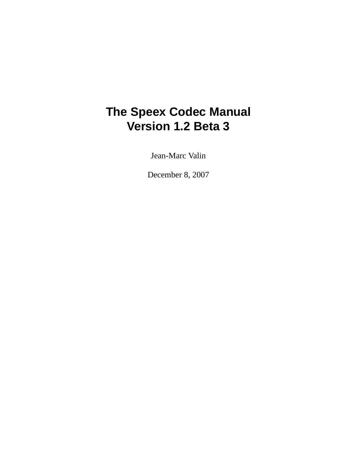# **The Speex Codec Manual Version 1.2 Beta 3**

Jean-Marc Valin

December 8, 2007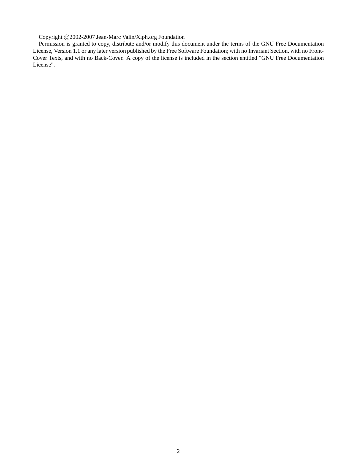Copyright ©2002-2007 Jean-Marc Valin/Xiph.org Foundation

Permission is granted to copy, distribute and/or modify this document under the terms of the GNU Free Documentation License, Version 1.1 or any later version published by the Free Software Foundation; with no Invariant Section, with no Front-Cover Texts, and with no Back-Cover. A copy of the license is included in the section entitled "GNU Free Documentation License".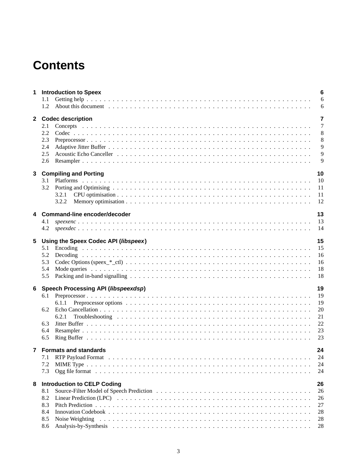# **Contents**

|              |     | 1 Introduction to Speex<br>6                                                                                                                                                                                                        |
|--------------|-----|-------------------------------------------------------------------------------------------------------------------------------------------------------------------------------------------------------------------------------------|
|              | 1.1 | 6                                                                                                                                                                                                                                   |
|              | 1.2 | About this document response to response the contract of the contract of the contract of the contract of the contract of the contract of the contract of the contract of the contract of the contract of the contract of the c<br>6 |
| $\mathbf{2}$ |     | 7<br><b>Codec description</b>                                                                                                                                                                                                       |
|              | 2.1 | $\overline{7}$                                                                                                                                                                                                                      |
|              | 2.2 | 8                                                                                                                                                                                                                                   |
|              | 2.3 | 8                                                                                                                                                                                                                                   |
|              | 2.4 | 9                                                                                                                                                                                                                                   |
|              | 2.5 | 9                                                                                                                                                                                                                                   |
|              | 2.6 | 9                                                                                                                                                                                                                                   |
|              |     |                                                                                                                                                                                                                                     |
| 3            |     | 10<br><b>Compiling and Porting</b>                                                                                                                                                                                                  |
|              | 3.1 | 10                                                                                                                                                                                                                                  |
|              | 3.2 | 11                                                                                                                                                                                                                                  |
|              |     | 11<br>3.2.1                                                                                                                                                                                                                         |
|              |     | 12<br>3.2.2                                                                                                                                                                                                                         |
|              |     |                                                                                                                                                                                                                                     |
| 4            |     | 13<br><b>Command-line encoder/decoder</b>                                                                                                                                                                                           |
|              | 4.1 | -13                                                                                                                                                                                                                                 |
|              | 4.2 | 14                                                                                                                                                                                                                                  |
| 5            |     | 15<br>Using the Speex Codec API (libspeex)                                                                                                                                                                                          |
|              | 5.1 | 15                                                                                                                                                                                                                                  |
|              | 5.2 | 16                                                                                                                                                                                                                                  |
|              | 5.3 | 16                                                                                                                                                                                                                                  |
|              | 5.4 | 18                                                                                                                                                                                                                                  |
|              | 5.5 | 18                                                                                                                                                                                                                                  |
|              |     | 19                                                                                                                                                                                                                                  |
| 6            |     | <b>Speech Processing API (libspeexdsp)</b><br>19                                                                                                                                                                                    |
|              | 6.1 | 19                                                                                                                                                                                                                                  |
|              |     | 6.1.1                                                                                                                                                                                                                               |
|              | 6.2 | 20<br>21                                                                                                                                                                                                                            |
|              |     | 6.2.1<br>22                                                                                                                                                                                                                         |
|              | 6.3 |                                                                                                                                                                                                                                     |
|              | 6.4 | 23                                                                                                                                                                                                                                  |
|              | 6.5 | 23                                                                                                                                                                                                                                  |
|              |     | 7 Formats and standards<br>24                                                                                                                                                                                                       |
|              | 7.1 | 24                                                                                                                                                                                                                                  |
|              | 7.2 | 24                                                                                                                                                                                                                                  |
|              | 7.3 | 24                                                                                                                                                                                                                                  |
|              |     |                                                                                                                                                                                                                                     |
| 8            |     | <b>Introduction to CELP Coding</b><br>26                                                                                                                                                                                            |
|              | 8.1 | 26                                                                                                                                                                                                                                  |
|              | 8.2 | 26                                                                                                                                                                                                                                  |
|              | 8.3 | 27                                                                                                                                                                                                                                  |
|              | 8.4 | 28                                                                                                                                                                                                                                  |
|              | 8.5 | 28<br>Noise Weighting                                                                                                                                                                                                               |
|              | 8.6 | 28                                                                                                                                                                                                                                  |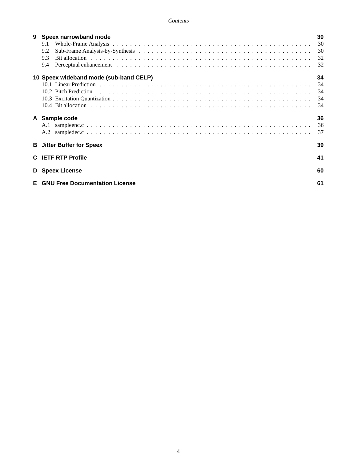#### Contents

| 9  | Speex narrowband mode<br>9.1<br>9.2<br>9.3<br>9.4 | 30<br>30<br>30<br>32<br>32 |
|----|---------------------------------------------------|----------------------------|
|    | 10 Speex wideband mode (sub-band CELP)            | 34<br>34<br>34<br>34<br>34 |
|    | A Sample code                                     | 36<br>36<br>37             |
| в. | <b>Jitter Buffer for Speex</b>                    | 39                         |
|    | <b>IETF RTP Profile</b>                           | 41                         |
| D  | <b>Speex License</b>                              | 60                         |
| E. | <b>GNU Free Documentation License</b>             | 61                         |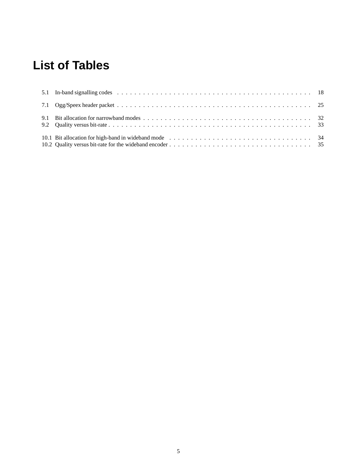# **List of Tables**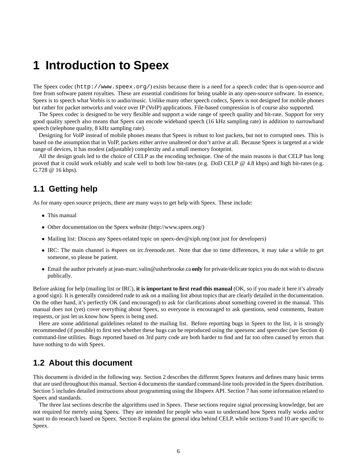# **1 Introduction to Speex**

The Speex codec (http://www.speex.org/) exists because there is a need for a speech codec that is open-source and free from software patent royalties. These are essential conditions for being usable in any open-source software. In essence, Speex is to speech what Vorbis is to audio/music. Unlike many other speech codecs, Speex is not designed for mobile phones but rather for packet networks and voice over IP (VoIP) applications. File-based compression is of course also supported.

The Speex codec is designed to be very flexible and support a wide range of speech quality and bit-rate. Support for very good quality speech also means that Speex can encode wideband speech (16 kHz sampling rate) in addition to narrowband speech (telephone quality, 8 kHz sampling rate).

Designing for VoIP instead of mobile phones means that Speex is robust to lost packets, but not to corrupted ones. This is based on the assumption that in VoIP, packets either arrive unaltered or don't arrive at all. Because Speex is targeted at a wide range of devices, it has modest (adjustable) complexity and a small memory footprint.

All the design goals led to the choice of CELP as the encoding technique. One of the main reasons is that CELP has long proved that it could work reliably and scale well to both low bit-rates (e.g. DoD CELP @ 4.8 kbps) and high bit-rates (e.g. G.728 @ 16 kbps).

#### **1.1 Getting help**

As for many open source projects, there are many ways to get help with Speex. These include:

- This manual
- Other documentation on the Speex website (http://www.speex.org/)
- Mailing list: Discuss any Speex-related topic on speex-dev@xiph.org (not just for developers)
- IRC: The main channel is #speex on irc.freenode.net. Note that due to time differences, it may take a while to get someone, so please be patient.
- Email the author privately at jean-marc.valin@usherbrooke.ca **only** for private/delicate topics you do not wish to discuss publically.

Before asking for help (mailing list or IRC), **it is important to first read this manual** (OK, so if you made it here it's already a good sign). It is generally considered rude to ask on a mailing list about topics that are clearly detailed in the documentation. On the other hand, it's perfectly OK (and encouraged) to ask for clarifications about something covered in the manual. This manual does not (yet) cover everything about Speex, so everyone is encouraged to ask questions, send comments, feature requests, or just let us know how Speex is being used.

Here are some additional guidelines related to the mailing list. Before reporting bugs in Speex to the list, it is strongly recommended (if possible) to first test whether these bugs can be reproduced using the speexenc and speexdec (see Section 4) command-line utilities. Bugs reported based on 3rd party code are both harder to find and far too often caused by errors that have nothing to do with Speex.

#### **1.2 About this document**

This document is divided in the following way. Section 2 describes the different Speex features and defines many basic terms that are used throughout this manual. Section 4 documents the standard command-line tools provided in the Speex distribution. Section 5 includes detailed instructions about programming using the libspeex API. Section 7 has some information related to Speex and standards.

The three last sections describe the algorithms used in Speex. These sections require signal processing knowledge, but are not required for merely using Speex. They are intended for people who want to understand how Speex really works and/or want to do research based on Speex. Section 8 explains the general idea behind CELP, while sections 9 and 10 are specific to Speex.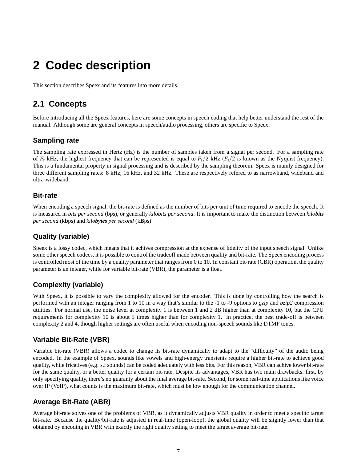# **2 Codec description**

This section describes Speex and its features into more details.

# **2.1 Concepts**

Before introducing all the Speex features, here are some concepts in speech coding that help better understand the rest of the manual. Although some are general concepts in speech/audio processing, others are specific to Speex.

#### **Sampling rate**

The sampling rate expressed in Hertz (Hz) is the number of samples taken from a signal per second. For a sampling rate of  $F_s$  kHz, the highest frequency that can be represented is equal to  $F_s/2$  kHz ( $F_s/2$  is known as the Nyquist frequency). This is a fundamental property in signal processing and is described by the sampling theorem. Speex is mainly designed for three different sampling rates: 8 kHz, 16 kHz, and 32 kHz. These are respectively refered to as narrowband, wideband and ultra-wideband.

#### **Bit-rate**

When encoding a speech signal, the bit-rate is defined as the number of bits per unit of time required to encode the speech. It is measured in *bits per second* (bps), or generally *kilobits per second*. It is important to make the distinction between *kilobits per second* (k**b**ps) and *kilobytes per second* (k**B**ps).

#### **Quality (variable)**

Speex is a lossy codec, which means that it achives compression at the expense of fidelity of the input speech signal. Unlike some other speech codecs, it is possible to control the tradeoff made between quality and bit-rate. The Speex encoding process is controlled most of the time by a quality parameter that ranges from 0 to 10. In constant bit-rate (CBR) operation, the quality parameter is an integer, while for variable bit-rate (VBR), the parameter is a float.

#### **Complexity (variable)**

With Speex, it is possible to vary the complexity allowed for the encoder. This is done by controlling how the search is performed with an integer ranging from 1 to 10 in a way that's similar to the -1 to -9 options to *gzip* and *bzip2* compression utilities. For normal use, the noise level at complexity 1 is between 1 and 2 dB higher than at complexity 10, but the CPU requirements for complexity 10 is about 5 times higher than for complexity 1. In practice, the best trade-off is between complexity 2 and 4, though higher settings are often useful when encoding non-speech sounds like DTMF tones.

### **Variable Bit-Rate (VBR)**

Variable bit-rate (VBR) allows a codec to change its bit-rate dynamically to adapt to the "difficulty" of the audio being encoded. In the example of Speex, sounds like vowels and high-energy transients require a higher bit-rate to achieve good quality, while fricatives (e.g. s,f sounds) can be coded adequately with less bits. For this reason, VBR can achive lower bit-rate for the same quality, or a better quality for a certain bit-rate. Despite its advantages, VBR has two main drawbacks: first, by only specifying quality, there's no guaranty about the final average bit-rate. Second, for some real-time applications like voice over IP (VoIP), what counts is the maximum bit-rate, which must be low enough for the communication channel.

### **Average Bit-Rate (ABR)**

Average bit-rate solves one of the problems of VBR, as it dynamically adjusts VBR quality in order to meet a specific target bit-rate. Because the quality/bit-rate is adjusted in real-time (open-loop), the global quality will be slightly lower than that obtained by encoding in VBR with exactly the right quality setting to meet the target average bit-rate.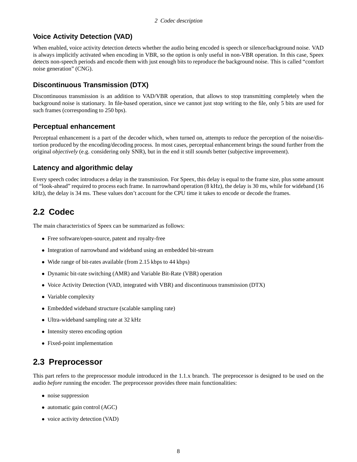### **Voice Activity Detection (VAD)**

When enabled, voice activity detection detects whether the audio being encoded is speech or silence/background noise. VAD is always implicitly activated when encoding in VBR, so the option is only useful in non-VBR operation. In this case, Speex detects non-speech periods and encode them with just enough bits to reproduce the background noise. This is called "comfort noise generation" (CNG).

#### **Discontinuous Transmission (DTX)**

Discontinuous transmission is an addition to VAD/VBR operation, that allows to stop transmitting completely when the background noise is stationary. In file-based operation, since we cannot just stop writing to the file, only 5 bits are used for such frames (corresponding to 250 bps).

#### **Perceptual enhancement**

Perceptual enhancement is a part of the decoder which, when turned on, attempts to reduce the perception of the noise/distortion produced by the encoding/decoding process. In most cases, perceptual enhancement brings the sound further from the original *objectively* (e.g. considering only SNR), but in the end it still *sounds* better (subjective improvement).

#### **Latency and algorithmic delay**

Every speech codec introduces a delay in the transmission. For Speex, this delay is equal to the frame size, plus some amount of "look-ahead" required to process each frame. In narrowband operation (8 kHz), the delay is 30 ms, while for wideband (16 kHz), the delay is 34 ms. These values don't account for the CPU time it takes to encode or decode the frames.

## **2.2 Codec**

The main characteristics of Speex can be summarized as follows:

- Free software/open-source, patent and royalty-free
- Integration of narrowband and wideband using an embedded bit-stream
- Wide range of bit-rates available (from 2.15 kbps to 44 kbps)
- Dynamic bit-rate switching (AMR) and Variable Bit-Rate (VBR) operation
- Voice Activity Detection (VAD, integrated with VBR) and discontinuous transmission (DTX)
- Variable complexity
- Embedded wideband structure (scalable sampling rate)
- Ultra-wideband sampling rate at 32 kHz
- Intensity stereo encoding option
- Fixed-point implementation

## **2.3 Preprocessor**

This part refers to the preprocessor module introduced in the 1.1.x branch. The preprocessor is designed to be used on the audio *before* running the encoder. The preprocessor provides three main functionalities:

- noise suppression
- automatic gain control (AGC)
- voice activity detection (VAD)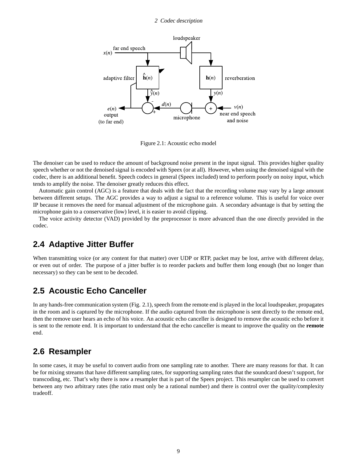#### <sup>2</sup> Codec description



Figure 2.1: Acoustic echo model

The denoiser can be used to reduce the amount of background noise present in the input signal. This provides higher quality speech whether or not the denoised signal is encoded with Speex (or at all). However, when using the denoised signal with the codec, there is an additional benefit. Speech codecs in general (Speex included) tend to perform poorly on noisy input, which tends to amplify the noise. The denoiser greatly reduces this effect.

Automatic gain control (AGC) is a feature that deals with the fact that the recording volume may vary by a large amount between different setups. The AGC provides a way to adjust a signal to a reference volume. This is useful for voice over IP because it removes the need for manual adjustment of the microphone gain. A secondary advantage is that by setting the microphone gain to a conservative (low) level, it is easier to avoid clipping.

The voice activity detector (VAD) provided by the preprocessor is more advanced than the one directly provided in the codec.

### **2.4 Adaptive Jitter Buffer**

When transmitting voice (or any content for that matter) over UDP or RTP, packet may be lost, arrive with different delay, or even out of order. The purpose of a jitter buffer is to reorder packets and buffer them long enough (but no longer than necessary) so they can be sent to be decoded.

## **2.5 Acoustic Echo Canceller**

In any hands-free communication system (Fig. 2.1), speech from the remote end is played in the local loudspeaker, propagates in the room and is captured by the microphone. If the audio captured from the microphone is sent directly to the remote end, then the remove user hears an echo of his voice. An acoustic echo canceller is designed to remove the acoustic echo before it is sent to the remote end. It is important to understand that the echo canceller is meant to improve the quality on the **remote** end.

## **2.6 Resampler**

In some cases, it may be useful to convert audio from one sampling rate to another. There are many reasons for that. It can be for mixing streams that have different sampling rates, for supporting sampling rates that the soundcard doesn't support, for transcoding, etc. That's why there is now a resampler that is part of the Speex project. This resampler can be used to convert between any two arbitrary rates (the ratio must only be a rational number) and there is control over the quality/complexity tradeoff.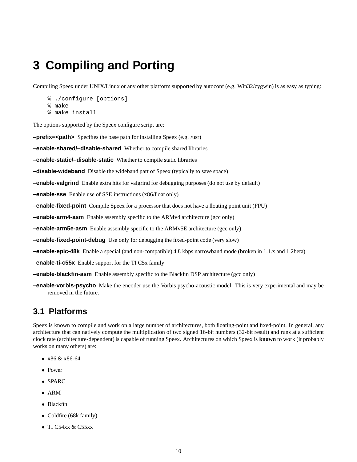# **3 Compiling and Porting**

Compiling Speex under UNIX/Linux or any other platform supported by autoconf (e.g. Win32/cygwin) is as easy as typing:

% ./configure [options] % make

- 
- % make install

The options supported by the Speex configure script are:

**–prefix=<path>** Specifies the base path for installing Speex (e.g. /usr)

**–enable-shared/–disable-shared** Whether to compile shared libraries

**–enable-static/–disable-static** Whether to compile static libraries

**–disable-wideband** Disable the wideband part of Speex (typically to save space)

**–enable-valgrind** Enable extra hits for valgrind for debugging purposes (do not use by default)

**–enable-sse** Enable use of SSE instructions (x86/float only)

**–enable-fixed-point** Compile Speex for a processor that does not have a floating point unit (FPU)

**–enable-arm4-asm** Enable assembly specific to the ARMv4 architecture (gcc only)

**–enable-arm5e-asm** Enable assembly specific to the ARMv5E architecture (gcc only)

**–enable-fixed-point-debug** Use only for debugging the fixed-point code (very slow)

**–enable-epic-48k** Enable a special (and non-compatible) 4.8 kbps narrowband mode (broken in 1.1.x and 1.2beta)

- **–enable-ti-c55x** Enable support for the TI C5x family
- **–enable-blackfin-asm** Enable assembly specific to the Blackfin DSP architecture (gcc only)
- **–enable-vorbis-psycho** Make the encoder use the Vorbis psycho-acoustic model. This is very experimental and may be removed in the future.

## **3.1 Platforms**

Speex is known to compile and work on a large number of architectures, both floating-point and fixed-point. In general, any architecture that can natively compute the multiplication of two signed 16-bit numbers (32-bit result) and runs at a sufficient clock rate (architecture-dependent) is capable of running Speex. Architectures on which Speex is **known** to work (it probably works on many others) are:

- x86 & x86-64
- Power
- SPARC
- ARM
- Blackfin
- Coldfire (68k family)
- $\bullet$  TI C54xx & C55xx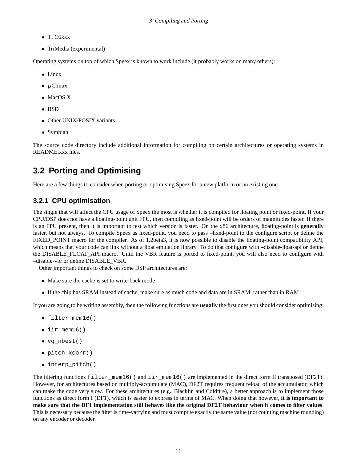- TI C6xxx
- TriMedia (experimental)

Operating systems on top of which Speex is known to work include (it probably works on many others):

- Linux
- $\bullet$   $\mu$ Clinux
- MacOS X
- BSD
- Other UNIX/POSIX variants
- Symbian

The source code directory include additional information for compiling on certain architectures or operating systems in README.xxx files.

# **3.2 Porting and Optimising**

Here are a few things to consider when porting or optimising Speex for a new platform or an existing one.

### **3.2.1 CPU optimisation**

The single that will affect the CPU usage of Speex the most is whether it is compiled for floating point or fixed-point. If your CPU/DSP does not have a floating-point unit FPU, then compiling as fixed-point will be orders of magnitudes faster. If there is an FPU present, then it is important to test which version is faster. On the x86 architecture, floating-point is **generally** faster, but not always. To compile Speex as fixed-point, you need to pass –fixed-point to the configure script or define the FIXED POINT macro for the compiler. As of 1.2beta3, it is now possible to disable the floating-point compatibility API, which means that your code can link without a float emulation library. To do that configure with –disable-float-api or define the DISABLE\_FLOAT\_API macro. Until the VBR feature is ported to fixed-point, you will also need to configure with –disable-vbr or define DISABLE\_VBR.

Other important things to check on some DSP architectures are:

- Make sure the cache is set to write-back mode
- If the chip has SRAM instead of cache, make sure as much code and data are in SRAM, rather than in RAM

If you are going to be writing assembly, then the following functions are **usually** the first ones you should consider optimising:

- filter\_mem16()
- $\bullet$  iir\_mem16()
- vq\_nbest()
- pitch\_xcorr()
- interp\_pitch()

The filtering functions filter\_mem16() and iir\_mem16() are implemented in the direct form II transposed (DF2T). However, for architectures based on multiply-accumulate (MAC), DF2T requires frequent reload of the accumulator, which can make the code very slow. For these architectures (e.g. Blackfin and Coldfire), a better approach is to implement those functions as direct form I (DF1), which is easier to express in terms of MAC. When doing that however, **it is important to make sure that the DF1 implementation still behaves like the original DF2T behaviour when it comes to filter values**. This is necessary because the filter is time-varrying and must compute exactly the same value (not counting machine rounding) on any encoder or decoder.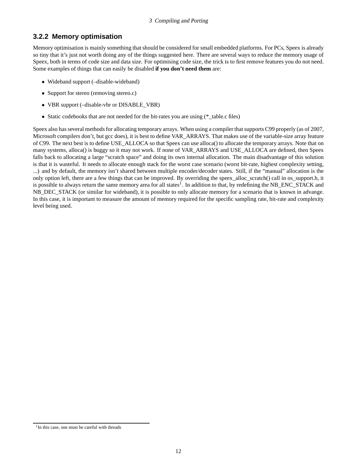#### **3.2.2 Memory optimisation**

Memory optimisation is mainly something that should be considered for small embedded platforms. For PCs, Speex is already so tiny that it's just not worth doing any of the things suggested here. There are several ways to reduce the memory usage of Speex, both in terms of code size and data size. For optimising code size, the trick is to first remove features you do not need. Some examples of things that can easily be disabled **if you don't need them** are:

- Wideband support (–disable-wideband)
- Support for stereo (removing stereo.c)
- VBR support (-disable-vbr or DISABLE\_VBR)
- Static codebooks that are not needed for the bit-rates you are using (\*\_table.c files)

Speex also has several methods for allocating temporary arrays. When using a compiler that supports C99 properly (as of 2007, Microsoft compilers don't, but gcc does), it is best to define VAR\_ARRAYS. That makes use of the variable-size array feature of C99. The next best is to define USE\_ALLOCA so that Speex can use alloca() to allocate the temporary arrays. Note that on many systems, alloca() is buggy so it may not work. If none of VAR\_ARRAYS and USE\_ALLOCA are defined, then Speex falls back to allocating a large "scratch space" and doing its own internal allocation. The main disadvantage of this solution is that it is wasteful. It needs to allocate enough stack for the worst case scenario (worst bit-rate, highest complexity setting, ...) and by default, the memory isn't shared between multiple encoder/decoder states. Still, if the "manual" allocation is the only option left, there are a few things that can be improved. By overriding the speex\_alloc\_scratch() call in os\_support.h, it is possible to always return the same memory area for all states $^1$ . In addition to that, by redefining the NB\_ENC\_STACK and NB\_DEC\_STACK (or similar for wideband), it is possible to only allocate memory for a scenario that is known in advange. In this case, it is important to measure the amount of memory required for the specific sampling rate, bit-rate and complexity level being used.

<sup>&</sup>lt;sup>1</sup>In this case, one must be careful with threads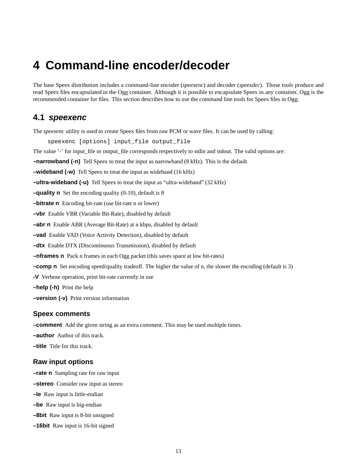# **4 Command-line encoder/decoder**

The base Speex distribution includes a command-line encoder (*speexenc*) and decoder (*speexdec*). Those tools produce and read Speex files encapsulated in the Ogg container. Although it is possible to encapsulate Speex in any container, Ogg is the recommended container for files. This section describes how to use the command line tools for Speex files in Ogg.

#### **4.1 speexenc**

The *speexenc* utility is used to create Speex files from raw PCM or wave files. It can be used by calling:

speexenc [options] input\_file output\_file

The value '-' for input\_file or output\_file corresponds respectively to stdin and stdout. The valid options are:

**–narrowband (-n)** Tell Speex to treat the input as narrowband (8 kHz). This is the default

**–wideband (-w)** Tell Speex to treat the input as wideband (16 kHz)

**–ultra-wideband (-u)** Tell Speex to treat the input as "ultra-wideband" (32 kHz)

**–quality n** Set the encoding quality (0-10), default is 8

**–bitrate n** Encoding bit-rate (use bit-rate n or lower)

**–vbr** Enable VBR (Variable Bit-Rate), disabled by default

**–abr n** Enable ABR (Average Bit-Rate) at n kbps, disabled by default

**–vad** Enable VAD (Voice Activity Detection), disabled by default

**–dtx** Enable DTX (Discontinuous Transmission), disabled by default

**–nframes n** Pack n frames in each Ogg packet (this saves space at low bit-rates)

**–comp n** Set encoding speed/quality tradeoff. The higher the value of n, the slower the encoding (default is 3)

**-V** Verbose operation, print bit-rate currently in use

**–help (-h)** Print the help

**–version (-v)** Print version information

#### **Speex comments**

**–comment** Add the given string as an extra comment. This may be used multiple times.

**–author** Author of this track.

**–title** Title for this track.

#### **Raw input options**

- **–rate n** Sampling rate for raw input
- **–stereo** Consider raw input as stereo
- **–le** Raw input is little-endian
- **–be** Raw input is big-endian
- **–8bit** Raw input is 8-bit unsigned
- **–16bit** Raw input is 16-bit signed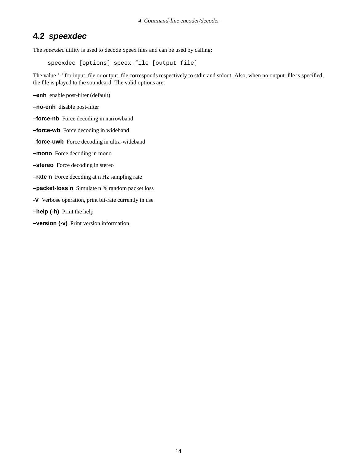## **4.2 speexdec**

The *speexdec* utility is used to decode Speex files and can be used by calling:

speexdec [options] speex\_file [output\_file]

The value '-' for input\_file or output\_file corresponds respectively to stdin and stdout. Also, when no output\_file is specified, the file is played to the soundcard. The valid options are:

**–enh** enable post-filter (default)

**–no-enh** disable post-filter

**–force-nb** Force decoding in narrowband

**–force-wb** Force decoding in wideband

**–force-uwb** Force decoding in ultra-wideband

**–mono** Force decoding in mono

**–stereo** Force decoding in stereo

**–rate n** Force decoding at n Hz sampling rate

**–packet-loss n** Simulate n % random packet loss

**-V** Verbose operation, print bit-rate currently in use

**–help (-h)** Print the help

**–version (-v)** Print version information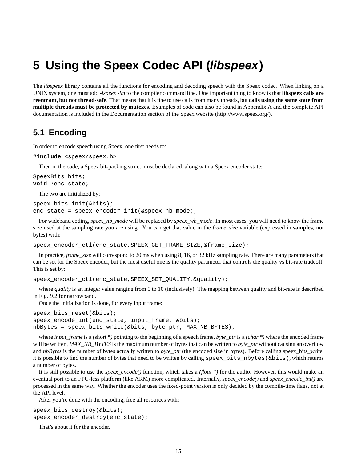# **5 Using the Speex Codec API (libspeex)**

The *libspeex* library contains all the functions for encoding and decoding speech with the Speex codec. When linking on a UNIX system, one must add *-lspeex -lm* to the compiler command line. One important thing to know is that **libspeex calls are reentrant, but not thread-safe**. That means that it is fine to use calls from many threads, but **calls using the same state from multiple threads must be protected by mutexes**. Examples of code can also be found in Appendix A and the complete API documentation is included in the Documentation section of the Speex website (http://www.speex.org/).

## **5.1 Encoding**

In order to encode speech using Speex, one first needs to:

```
#include <speex/speex.h>
```
Then in the code, a Speex bit-packing struct must be declared, along with a Speex encoder state:

```
SpeexBits bits;
void *enc_state;
```
The two are initialized by:

```
speex_bits_init(&bits);
enc_state = speex_encoder_init(&speex_nb_mode);
```
For wideband coding, *speex\_nb\_mode* will be replaced by *speex\_wb\_mode*. In most cases, you will need to know the frame size used at the sampling rate you are using. You can get that value in the *frame\_size* variable (expressed in **samples**, not bytes) with:

speex\_encoder\_ctl(enc\_state,SPEEX\_GET\_FRAME\_SIZE, &frame\_size);

In practice, *frame\_size* will correspond to 20 ms when using 8, 16, or 32 kHz sampling rate. There are many parameters that can be set for the Speex encoder, but the most useful one is the quality parameter that controls the quality vs bit-rate tradeoff. This is set by:

```
speex_encoder_ctl(enc_state,SPEEX_SET_QUALITY,&quality);
```
where *quality* is an integer value ranging from 0 to 10 (inclusively). The mapping between quality and bit-rate is described in Fig. 9.2 for narrowband.

Once the initialization is done, for every input frame:

```
speex_bits_reset(&bits);
speex_encode_int(enc_state, input_frame, &bits);
nbBytes = speex_bits_write(&bits, byte_ptr, MAX_NB_BYTES);
```
where *input\_frame* is a *(*short *\*)* pointing to the beginning of a speech frame, *byte\_ptr* is a *(char \*)* where the encoded frame will be written, *MAX\_NB\_BYTES* is the maximum number of bytes that can be written to *byte\_ptr* without causing an overflow and *nbBytes* is the number of bytes actually written to *byte\_ptr* (the encoded size in bytes). Before calling speex\_bits\_write, it is possible to find the number of bytes that need to be written by calling speex\_bits\_nbytes(&bits), which returns a number of bytes.

It is still possible to use the *speex\_encode()* function, which takes a *(float \*)* for the audio. However, this would make an eventual port to an FPU-less platform (like ARM) more complicated. Internally, *speex\_encode()* and *speex\_encode\_int()* are processed in the same way. Whether the encoder uses the fixed-point version is only decided by the compile-time flags, not at the API level.

After you're done with the encoding, free all resources with:

```
speex_bits_destroy(&bits);
speex_encoder_destroy(enc_state);
```
That's about it for the encoder.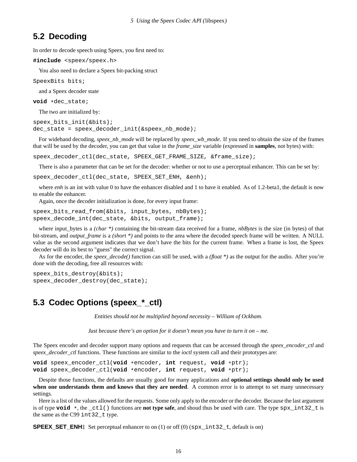<sup>5</sup> Using the Speex Codec API (libspeex)

### **5.2 Decoding**

In order to decode speech using Speex, you first need to:

**#include** <speex/speex.h>

You also need to declare a Speex bit-packing struct

```
SpeexBits bits;
```
and a Speex decoder state

```
void *dec_state;
```
The two are initialized by:

speex\_bits\_init(&bits); dec state = speex decoder init( $&$ speex nb mode);

For wideband decoding, *speex\_nb\_mode* will be replaced by *speex\_wb\_mode*. If you need to obtain the size of the frames that will be used by the decoder, you can get that value in the *frame\_size* variable (expressed in **samples**, not bytes) with:

speex\_decoder\_ctl(dec\_state, SPEEX\_GET\_FRAME\_SIZE, &frame\_size);

There is also a parameter that can be set for the decoder: whether or not to use a perceptual enhancer. This can be set by:

speex\_decoder\_ctl(dec\_state, SPEEX\_SET\_ENH, &enh);

where *enh* is an int with value 0 to have the enhancer disabled and 1 to have it enabled. As of 1.2-beta1, the default is now to enable the enhancer.

Again, once the decoder initialization is done, for every input frame:

speex\_bits\_read\_from(&bits, input\_bytes, nbBytes); speex\_decode\_int(dec\_state, &bits, output\_frame);

where input bytes is a *(char \*)* containing the bit-stream data received for a frame, *nbBytes* is the size (in bytes) of that bit-stream, and *output\_frame* is a *(short \*)* and points to the area where the decoded speech frame will be written. A NULL value as the second argument indicates that we don't have the bits for the current frame. When a frame is lost, the Speex decoder will do its best to "guess" the correct signal.

As for the encoder, the *speex\_decode()* function can still be used, with a *(float \*)* as the output for the audio. After you're done with the decoding, free all resources with:

speex bits destroy(&bits); speex\_decoder\_destroy(dec\_state);

## **5.3 Codec Options (speex\_\*\_ctl)**

*Entities should not be multiplied beyond necessity – William of Ockham.*

*Just because there's an option for it doesn't mean you have to turn it on – me.*

The Speex encoder and decoder support many options and requests that can be accessed through the *speex\_encoder\_ctl* and *speex\_decoder\_ctl* functions. These functions are similar to the *ioctl* system call and their prototypes are:

```
void speex_encoder_ctl(void *encoder, int request, void *ptr);
void speex_decoder_ctl(void *encoder, int request, void *ptr);
```
Despite those functions, the defaults are usually good for many applications and **optional settings should only be used when one understands them and knows that they are needed**. A common error is to attempt to set many unnecessary settings.

Here is a list of the values allowed for the requests. Some only apply to the encoder or the decoder. Because the last argument is of type **void** \*, the \_ctl() functions are **not type safe**, and shoud thus be used with care. The type spx\_int32\_t is the same as the C99 int32\_t type.

**SPEEX\_SET\_ENH** $\ddagger$  Set perceptual enhancer to on (1) or off (0) ( $\text{spx}_\text{int}$  int32\_t, default is on)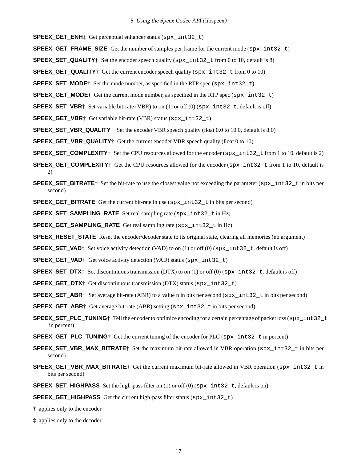- **SPEEX GET ENH**<sup> $\uparrow$ </sup> Get perceptual enhancer status (spx\_int32\_t)
- **SPEEX\_GET\_FRAME\_SIZE** Get the number of samples per frame for the current mode (spx\_int32\_t)
- **SPEEX\_SET\_QUALITY**<sup> $\dagger$ </sup> Set the encoder speech quality (spx\_int32\_t from 0 to 10, default is 8)
- **SPEEX\_GET\_QUALITY**<sup> $\dagger$ </sup> Get the current encoder speech quality (spx\_int32\_t from 0 to 10)
- **SPEEX\_SET\_MODE**<sup>†</sup> Set the mode number, as specified in the RTP spec (spx\_int32\_t)
- **SPEEX\_GET\_MODE**† Get the current mode number, as specified in the RTP spec (spx\_int32\_t)
- **SPEEX\_SET\_VBR**<sup>†</sup> Set variable bit-rate (VBR) to on (1) or off (0) (spx\_int32\_t, default is off)
- **SPEEX\_GET\_VBR**† Get variable bit-rate (VBR) status (spx\_int32\_t)
- **SPEEX\_SET\_VBR\_QUALITY**† Set the encoder VBR speech quality (float 0.0 to 10.0, default is 8.0)
- **SPEEX\_GET\_VBR\_QUALITY**<sup>†</sup> Get the current encoder VBR speech quality (float 0 to 10)
- **SPEEX\_SET\_COMPLEXITY**<sup>†</sup> Set the CPU resources allowed for the encoder (spx\_int32\_t from 1 to 10, default is 2)
- **SPEEX GET COMPLEXITY**<sup>†</sup> Get the CPU resources allowed for the encoder (spx\_int32\_t from 1 to 10, default is 2)
- **SPEEX\_SET\_BITRATE**† Set the bit-rate to use the closest value not exceeding the parameter (spx\_int32\_t in bits per second)
- **SPEEX\_GET\_BITRATE** Get the current bit-rate in use (spx\_int32\_t in bits per second)
- **SPEEX\_SET\_SAMPLING\_RATE** Set real sampling rate (spx\_int32\_t in Hz)
- **SPEEX\_GET\_SAMPLING\_RATE** Get real sampling rate (spx\_int32\_t in Hz)
- **SPEEX\_RESET\_STATE** Reset the encoder/decoder state to its original state, clearing all memories (no argument)
- **SPEEX\_SET\_VAD**<sup>†</sup> Set voice activity detection (VAD) to on (1) or off (0) (spx\_int32\_t, default is off)
- **SPEEX\_GET\_VAD**<sup>†</sup> Get voice activity detection (VAD) status (spx\_int32\_t)
- **SPEEX\_SET\_DTX**<sup> $\dagger$ </sup> Set discontinuous transmission (DTX) to on (1) or off (0) (spx\_int32\_t, default is off)
- **SPEEX GET DTX**<sup> $\dagger$ </sup> Get discontinuous transmission (DTX) status (spx int32 t)
- **SPEEX\_SET\_ABR**<sup>†</sup> Set average bit-rate (ABR) to a value n in bits per second (spx\_int32\_t in bits per second)
- **SPEEX\_GET\_ABR**<sup>+</sup> Get average bit-rate (ABR) setting (spx\_int32\_t in bits per second)
- **SPEEX\_SET\_PLC\_TUNING**<sup>†</sup> Tell the encoder to optimize encoding for a certain percentage of packet loss (spx\_int32\_t in percent)
- **SPEEX\_GET\_PLC\_TUNING**† Get the current tuning of the encoder for PLC (spx\_int32\_t in percent)
- **SPEEX\_SET\_VBR\_MAX\_BITRATE**† Set the maximum bit-rate allowed in VBR operation (spx\_int32\_t in bits per second)
- **SPEEX\_GET\_VBR\_MAX\_BITRATE**† Get the current maximum bit-rate allowed in VBR operation (spx\_int32\_t in bits per second)
- **SPEEX SET HIGHPASS** Set the high-pass filter on (1) or off (0) (spx int32 t, default is on)

**SPEEX\_GET\_HIGHPASS** Get the current high-pass filter status (spx\_int32\_t)

† applies only to the encoder

‡ applies only to the decoder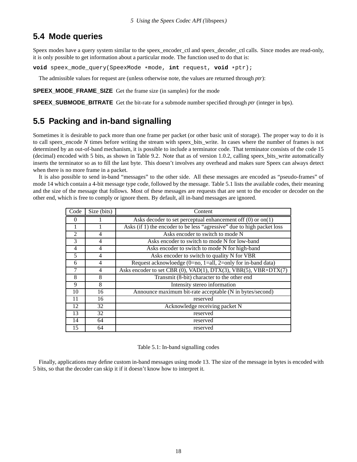<sup>5</sup> Using the Speex Codec API (libspeex)

### **5.4 Mode queries**

Speex modes have a query system similar to the speex\_encoder\_ctl and speex\_decoder\_ctl calls. Since modes are read-only, it is only possible to get information about a particular mode. The function used to do that is:

**void** speex\_mode\_query(SpeexMode \*mode, **int** request, **void** \*ptr);

The admissible values for request are (unless otherwise note, the values are returned through *ptr*):

**SPEEX MODE FRAME SIZE** Get the frame size (in samples) for the mode

**SPEEX\_SUBMODE\_BITRATE** Get the bit-rate for a submode number specified through *ptr* (integer in bps).

## **5.5 Packing and in-band signalling**

Sometimes it is desirable to pack more than one frame per packet (or other basic unit of storage). The proper way to do it is to call speex\_encode *N* times before writing the stream with speex\_bits\_write. In cases where the number of frames is not determined by an out-of-band mechanism, it is possible to include a terminator code. That terminator consists of the code 15 (decimal) encoded with 5 bits, as shown in Table 9.2. Note that as of version 1.0.2, calling speex\_bits\_write automatically inserts the terminator so as to fill the last byte. This doesn't involves any overhead and makes sure Speex can always detect when there is no more frame in a packet.

It is also possible to send in-band "messages" to the other side. All these messages are encoded as "pseudo-frames" of mode 14 which contain a 4-bit message type code, followed by the message. Table 5.1 lists the available codes, their meaning and the size of the message that follows. Most of these messages are requests that are sent to the encoder or decoder on the other end, which is free to comply or ignore them. By default, all in-band messages are ignored.

| Code           | Size (bits) | Content                                                                               |
|----------------|-------------|---------------------------------------------------------------------------------------|
| $\theta$       |             | Asks decoder to set perceptual enhancement off $(0)$ or on $(1)$                      |
|                |             | Asks (if 1) the encoder to be less "agressive" due to high packet loss                |
| $\overline{2}$ | 4           | Asks encoder to switch to mode N                                                      |
| 3              | 4           | Asks encoder to switch to mode N for low-band                                         |
| $\overline{4}$ | 4           | Asks encoder to switch to mode N for high-band                                        |
| 5              | 4           | Asks encoder to switch to quality N for VBR                                           |
| 6              | 4           | Request acknowledge $(0=no, 1=all, 2=only for in-band data)$                          |
| 7              | 4           | Asks encoder to set CBR $(0)$ , VAD $(1)$ , DTX $(3)$ , VBR $(5)$ , VBR $+$ DTX $(7)$ |
| 8              | 8           | Transmit (8-bit) character to the other end                                           |
| 9              | 8           | Intensity stereo information                                                          |
| 10             | 16          | Announce maximum bit-rate acceptable (N in bytes/second)                              |
| 11             | 16          | reserved                                                                              |
| 12             | 32          | Acknowledge receiving packet N                                                        |
| 13             | 32          | reserved                                                                              |
| 14             | 64          | reserved                                                                              |
| 15             | 64          | reserved                                                                              |

#### Table 5.1: In-band signalling codes

Finally, applications may define custom in-band messages using mode 13. The size of the message in bytes is encoded with 5 bits, so that the decoder can skip it if it doesn't know how to interpret it.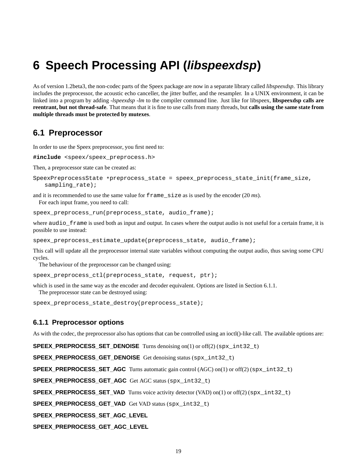# **6 Speech Processing API (libspeexdsp)**

As of version 1.2beta3, the non-codec parts of the Speex package are now in a separate library called *libspeexdsp*. This library includes the preprocessor, the acoustic echo canceller, the jitter buffer, and the resampler. In a UNIX environment, it can be linked into a program by adding *-lspeexdsp -lm* to the compiler command line. Just like for libspeex, **libspeexdsp calls are reentrant, but not thread-safe**. That means that it is fine to use calls from many threads, but **calls using the same state from multiple threads must be protected by mutexes**.

### **6.1 Preprocessor**

In order to use the Speex preprocessor, you first need to:

**#include** <speex/speex\_preprocess.h>

Then, a preprocessor state can be created as:

```
SpeexPreprocessState *preprocess_state = speex_preprocess_state_init(frame_size,
   sampling rate);
```
and it is recommended to use the same value for frame\_size as is used by the encoder (20 *ms*). For each input frame, you need to call:

speex\_preprocess\_run(preprocess\_state, audio\_frame);

where audio frame is used both as input and output. In cases where the output audio is not useful for a certain frame, it is possible to use instead:

speex\_preprocess\_estimate\_update(preprocess\_state, audio\_frame);

This call will update all the preprocessor internal state variables without computing the output audio, thus saving some CPU cycles.

The behaviour of the preprocessor can be changed using:

```
speex_preprocess_ctl(preprocess_state, request, ptr);
```
which is used in the same way as the encoder and decoder equivalent. Options are listed in Section 6.1.1. The preprocessor state can be destroyed using:

speex\_preprocess\_state\_destroy(preprocess\_state);

#### **6.1.1 Preprocessor options**

As with the codec, the preprocessor also has options that can be controlled using an ioctl()-like call. The available options are:

**SPEEX\_PREPROCESS\_SET\_DENOISE** Turns denoising on(1) or off(2) (spx\_int32\_t)

**SPEEX\_PREPROCESS\_GET\_DENOISE** Get denoising status (spx\_int32\_t)

**SPEEX\_PREPROCESS\_SET\_AGC** Turns automatic gain control (AGC) on(1) or off(2) (spx\_int32\_t)

**SPEEX\_PREPROCESS\_GET\_AGC** Get AGC status (spx\_int32\_t)

**SPEEX PREPROCESS SET VAD** Turns voice activity detector (VAD) on(1) or off(2) (spx\_int32\_t)

**SPEEX\_PREPROCESS\_GET\_VAD** Get VAD status (spx\_int32\_t)

**SPEEX\_PREPROCESS\_SET\_AGC\_LEVEL**

**SPEEX\_PREPROCESS\_GET\_AGC\_LEVEL**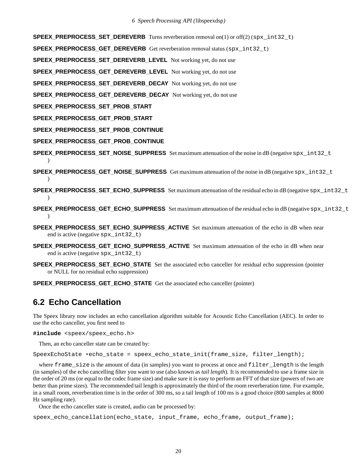**SPEEX\_PREPROCESS\_SET\_DEREVERB** Turns reverberation removal on(1) or off(2) (spx\_int32\_t)

**SPEEX\_PREPROCESS\_GET\_DEREVERB** Get reverberation removal status (spx\_int32\_t)

**SPEEX\_PREPROCESS\_SET\_DEREVERB\_LEVEL** Not working yet, do not use

**SPEEX\_PREPROCESS\_GET\_DEREVERB\_LEVEL** Not working yet, do not use

**SPEEX\_PREPROCESS\_SET\_DEREVERB\_DECAY** Not working yet, do not use

**SPEEX\_PREPROCESS\_GET\_DEREVERB\_DECAY\_Not working yet, do not use** 

**SPEEX\_PREPROCESS\_SET\_PROB\_START**

**SPEEX\_PREPROCESS\_GET\_PROB\_START**

**SPEEX\_PREPROCESS\_SET\_PROB\_CONTINUE**

**SPEEX\_PREPROCESS\_GET\_PROB\_CONTINUE**

**SPEEX\_PREPROCESS\_SET\_NOISE\_SUPPRESS** Set maximum attenuation of the noise in dB (negativespx\_int32\_t  $\mathcal{L}$ 

**SPEEX\_PREPROCESS\_GET\_NOISE\_SUPPRESS** Get maximum attenuation of the noise in dB (negativespx\_int32\_t  $\lambda$ 

- **SPEEX\_PREPROCESS\_SET\_ECHO\_SUPPRESS** Set maximum attenuation of the residual echo in dB (negative spx\_int32\_t  $\lambda$
- **SPEEX\_PREPROCESS\_GET\_ECHO\_SUPPRESS** Set maximum attenuation of the residual echo in dB (negativespx\_int32\_t  $\lambda$
- **SPEEX\_PREPROCESS\_SET\_ECHO\_SUPPRESS\_ACTIVE** Set maximum attenuation of the echo in dB when near end is active (negative spx\_int32\_t)
- **SPEEX\_PREPROCESS\_GET\_ECHO\_SUPPRESS\_ACTIVE** Set maximum attenuation of the echo in dB when near end is active (negative spx\_int32\_t)
- **SPEEX\_PREPROCESS\_SET\_ECHO\_STATE** Set the associated echo canceller for residual echo suppression (pointer or NULL for no residual echo suppression)

**SPEEX PREPROCESS GET ECHO STATE** Get the associated echo canceller (pointer)

## **6.2 Echo Cancellation**

The Speex library now includes an echo cancellation algorithm suitable for Acoustic Echo Cancellation (AEC). In order to use the echo canceller, you first need to

**#include** <speex/speex\_echo.h>

Then, an echo canceller state can be created by:

SpeexEchoState \*echo\_state = speex\_echo\_state\_init(frame\_size, filter\_length);

where frame\_size is the amount of data (in samples) you want to process at once and filter\_length is the length (in samples) of the echo cancelling filter you want to use (also known as *tail length*). It is recommended to use a frame size in the order of 20 ms (or equal to the codec frame size) and make sure it is easy to perform an FFT of that size (powers of two are better than prime sizes). The recommended tail length is approximately the third of the room reverberation time. For example, in a small room, reverberation time is in the order of 300 ms, so a tail length of 100 ms is a good choice (800 samples at 8000 Hz sampling rate).

Once the echo canceller state is created, audio can be processed by:

speex\_echo\_cancellation(echo\_state, input\_frame, echo\_frame, output\_frame);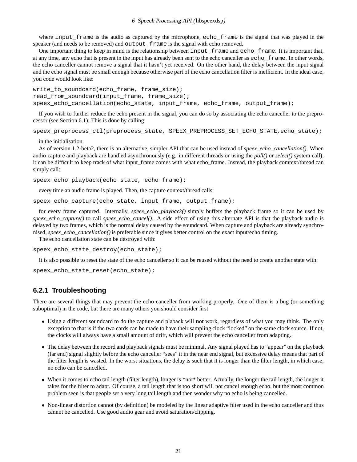#### <sup>6</sup> Speech Processing API (libspeexdsp)

where input frame is the audio as captured by the microphone, echo frame is the signal that was played in the speaker (and needs to be removed) and output\_frame is the signal with echo removed.

One important thing to keep in mind is the relationship between input\_frame and echo\_frame. It is important that, at any time, any echo that is present in the input has already been sent to the echo canceller as echo\_frame. In other words, the echo canceller cannot remove a signal that it hasn't yet received. On the other hand, the delay between the input signal and the echo signal must be small enough because otherwise part of the echo cancellation filter is inefficient. In the ideal case, you code would look like:

write to soundcard(echo frame, frame size); read\_from\_soundcard(input\_frame, frame\_size); speex\_echo\_cancellation(echo\_state, input\_frame, echo\_frame, output\_frame);

If you wish to further reduce the echo present in the signal, you can do so by associating the echo canceller to the preprocessor (see Section 6.1). This is done by calling:

```
speex_preprocess_ctl(preprocess_state, SPEEX_PREPROCESS_SET_ECHO_STATE,echo_state);
```
in the initialisation.

As of version 1.2-beta2, there is an alternative, simpler API that can be used instead of *speex\_echo\_cancellation()*. When audio capture and playback are handled asynchronously (e.g. in different threads or using the *poll()* or *select()* system call), it can be difficult to keep track of what input\_frame comes with what echo\_frame. Instead, the playback comtext/thread can simply call:

speex\_echo\_playback(echo\_state, echo\_frame);

every time an audio frame is played. Then, the capture context/thread calls:

speex\_echo\_capture(echo\_state, input\_frame, output\_frame);

for every frame captured. Internally, *speex\_echo\_playback()* simply buffers the playback frame so it can be used by *speex\_echo\_capture()* to call *speex\_echo\_cancel()*. A side effect of using this alternate API is that the playback audio is delayed by two frames, which is the normal delay caused by the soundcard. When capture and playback are already synchronised, *speex\_echo\_cancellation()* is preferable since it gives better control on the exact input/echo timing.

The echo cancellation state can be destroyed with:

```
speex_echo_state_destroy(echo_state);
```
It is also possible to reset the state of the echo canceller so it can be reused without the need to create another state with:

speex echo state reset(echo state);

#### **6.2.1 Troubleshooting**

There are several things that may prevent the echo canceller from working properly. One of them is a bug (or something suboptimal) in the code, but there are many others you should consider first

- Using a different soundcard to do the capture and plaback will **not** work, regardless of what you may think. The only exception to that is if the two cards can be made to have their sampling clock "locked" on the same clock source. If not, the clocks will always have a small amount of drift, which will prevent the echo canceller from adapting.
- The delay between the record and playback signals must be minimal. Any signal played has to "appear" on the playback (far end) signal slightly before the echo canceller "sees" it in the near end signal, but excessive delay means that part of the filter length is wasted. In the worst situations, the delay is such that it is longer than the filter length, in which case, no echo can be cancelled.
- When it comes to echo tail length (filter length), longer is \*not\* better. Actually, the longer the tail length, the longer it takes for the filter to adapt. Of course, a tail length that is too short will not cancel enough echo, but the most common problem seen is that people set a very long tail length and then wonder why no echo is being cancelled.
- Non-linear distortion cannot (by definition) be modeled by the linear adaptive filter used in the echo canceller and thus cannot be cancelled. Use good audio gear and avoid saturation/clipping.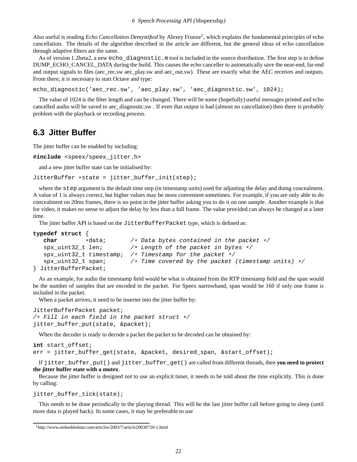Also useful is reading *Echo Cancellation Demystified* by Alexey Frunze<sup>1</sup>, which explains the fundamental principles of echo cancellation. The details of the algorithm described in the article are different, but the general ideas of echo cancellation through adaptive filters are the same.

As of version 1.2beta2, a new echo\_diagnostic.m tool is included in the source distribution. The first step is to define DUMP\_ECHO\_CANCEL\_DATA during the build. This causes the echo canceller to automatically save the near-end, far-end and output signals to files (aec\_rec.sw aec\_play.sw and aec\_out.sw). These are exactly what the AEC receives and outputs. From there, it is necessary to start Octave and type:

echo\_diagnostic('aec\_rec.sw', 'aec\_play.sw', 'aec\_diagnostic.sw', 1024);

The value of 1024 is the filter length and can be changed. There will be some (hopefully) useful messages printed and echo cancelled audio will be saved to aec\_diagnostic.sw . If even that output is bad (almost no cancellation) then there is probably problem with the playback or recording process.

### **6.3 Jitter Buffer**

The jitter buffer can be enabled by including:

**#include** <speex/speex\_jitter.h>

and a new jitter buffer state can be initialised by:

```
JitterBuffer *state = jitter_buffer_init(step);
```
where the step argument is the default time step (in timestamp units) used for adjusting the delay and doing concealment. A value of 1 is always correct, but higher values may be more convenient sometimes. For example, if you are only able to do concealment on 20ms frames, there is no point in the jitter buffer asking you to do it on one sample. Another example is that for video, it makes no sense to adjust the delay by less than a full frame. The value provided can always be changed at a later time.

The jitter buffer API is based on the JitterBufferPacket type, which is defined as:

```
typedef struct {
  char *data; /* Data bytes contained in the packet */
  spr\_uint32_t len; /* Length of the packet in bytes */
  spx_uint32_t timestamp; /* Timestamp for the packet */
   spx uint32 t span; \rightarrow \rightarrow Time covered by the packet (timestamp units) */
} JitterBufferPacket;
```
As an example, for audio the timestamp field would be what is obtained from the RTP timestamp field and the span would be the number of samples that are encoded in the packet. For Speex narrowband, span would be 160 if only one frame is included in the packet.

When a packet arrives, it need to be inserter into the jitter buffer by:

```
JitterBufferPacket packet;
/* Fill in each field in the packet struct */
jitter_buffer_put(state, &packet);
```
When the decoder is ready to decode a packet the packet to be decoded can be obtained by:

```
int start_offset;
err = jitter_buffer_get(state, &packet, desired_span, &start_offset);
```
If jitter\_buffer\_put() and jitter\_buffer\_get() are called from different threads, then **you need to protect the jitter buffer state with a mutex**.

Because the jitter buffer is designed not to use an explicit timer, it needs to be told about the time explicitly. This is done by calling:

```
jitter_buffer_tick(state);
```
This needs to be done periodically in the playing thread. This will be the last jitter buffer call before going to sleep (until more data is played back). In some cases, it may be preferable to use

<sup>1</sup>http://www.embeddedstar.com/articles/2003/7/article20030720-1.html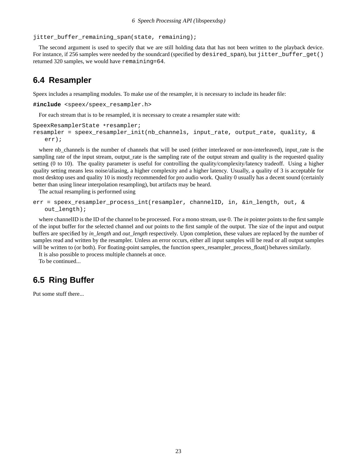jitter\_buffer\_remaining\_span(state, remaining);

The second argument is used to specify that we are still holding data that has not been written to the playback device. For instance, if 256 samples were needed by the soundcard (specified by desired\_span), but jitter\_buffer\_get() returned 320 samples, we would have remaining=64.

## **6.4 Resampler**

Speex includes a resampling modules. To make use of the resampler, it is necessary to include its header file:

**#include** <speex/speex\_resampler.h>

For each stream that is to be resampled, it is necessary to create a resampler state with:

```
SpeexResamplerState *resampler;
resampler = speex_resampler_init(nb_channels, input_rate, output_rate, quality, &
   err);
```
where nb\_channels is the number of channels that will be used (either interleaved or non-interleaved), input\_rate is the sampling rate of the input stream, output\_rate is the sampling rate of the output stream and quality is the requested quality setting (0 to 10). The quality parameter is useful for controlling the quality/complexity/latency tradeoff. Using a higher quality setting means less noise/aliasing, a higher complexity and a higher latency. Usually, a quality of 3 is acceptable for most desktop uses and quality 10 is mostly recommended for pro audio work. Quality 0 usually has a decent sound (certainly better than using linear interpolation resampling), but artifacts may be heard.

The actual resampling is performed using

```
err = speex_resampler_process_int(resampler, channelID, in, &in_length, out, &
   out_length);
```
where channelID is the ID of the channel to be processed. For a mono stream, use 0. The *in* pointer points to the first sample of the input buffer for the selected channel and *out* points to the first sample of the output. The size of the input and output buffers are specified by *in\_length* and *out\_length* respectively. Upon completion, these values are replaced by the number of samples read and written by the resampler. Unless an error occurs, either all input samples will be read or all output samples will be written to (or both). For floating-point samples, the function speex resampler process float() behaves similarly.

It is also possible to process multiple channels at once.

To be continued...

## **6.5 Ring Buffer**

Put some stuff there...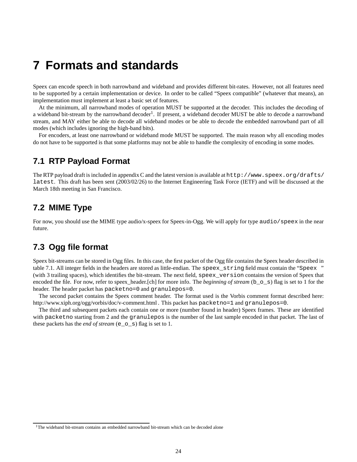# **7 Formats and standards**

Speex can encode speech in both narrowband and wideband and provides different bit-rates. However, not all features need to be supported by a certain implementation or device. In order to be called "Speex compatible" (whatever that means), an implementation must implement at least a basic set of features.

At the minimum, all narrowband modes of operation MUST be supported at the decoder. This includes the decoding of a wideband bit-stream by the narrowband decoder<sup>1</sup>. If present, a wideband decoder MUST be able to decode a narrowband stream, and MAY either be able to decode all wideband modes or be able to decode the embedded narrowband part of all modes (which includes ignoring the high-band bits).

For encoders, at least one narrowband or wideband mode MUST be supported. The main reason why all encoding modes do not have to be supported is that some platforms may not be able to handle the complexity of encoding in some modes.

## **7.1 RTP Payload Format**

The RTP payload draft is included in appendix C and the latest version is available at  $http://www.speex.org/drafts/$ latest. This draft has been sent (2003/02/26) to the Internet Engineering Task Force (IETF) and will be discussed at the March 18th meeting in San Francisco.

### **7.2 MIME Type**

For now, you should use the MIME type audio/x-speex for Speex-in-Ogg. We will apply for type audio/speex in the near future.

## **7.3 Ogg file format**

Speex bit-streams can be stored in Ogg files. In this case, the first packet of the Ogg file contains the Speex header described in table 7.1. All integer fields in the headers are stored as little-endian. The speex\_string field must contain the "Speex " (with 3 trailing spaces), which identifies the bit-stream. The next field, speex\_version contains the version of Speex that encoded the file. For now, refer to speex\_header.[ch] for more info. The *beginning of stream* (b\_o\_s) flag is set to 1 for the header. The header packet has packetno=0 and granulepos=0.

The second packet contains the Speex comment header. The format used is the Vorbis comment format described here: http://www.xiph.org/ogg/vorbis/doc/v-comment.html . This packet has packetno=1 and granulepos=0.

The third and subsequent packets each contain one or more (number found in header) Speex frames. These are identified with packetno starting from 2 and the granulepos is the number of the last sample encoded in that packet. The last of these packets has the *end of stream* (e\_o\_s) flag is set to 1.

 $1$ The wideband bit-stream contains an embedded narrowband bit-stream which can be decoded alone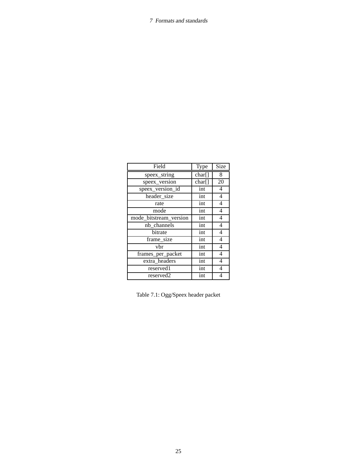<sup>7</sup> Formats and standards

| Field                  | Type   | Size           |
|------------------------|--------|----------------|
| speex_string           | char[] | 8              |
| speex_version          | char[] | 20             |
| speex_version_id       | int    | 4              |
| header size            | int    | $\overline{4}$ |
| rate                   | int    | $\overline{4}$ |
| mode                   | int    | $\overline{4}$ |
| mode_bitstream_version | int    | $\overline{4}$ |
| nb_channels            | int    | $\overline{4}$ |
| bitrate                | int    | $\overline{4}$ |
| frame size             | int    | 4              |
| vbr                    | int    | $\overline{4}$ |
| frames_per_packet      | int    | $\overline{4}$ |
| extra headers          | int    | 4              |
| reserved1              | int    | 4              |
| reserved2              | int    | $\overline{4}$ |

Table 7.1: Ogg/Speex header packet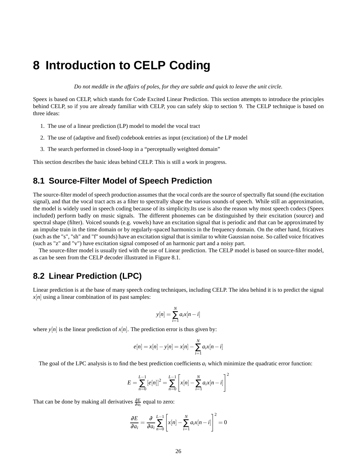# **8 Introduction to CELP Coding**

*Do not meddle in the affairs of poles, for they are subtle and quick to leave the unit circle.*

Speex is based on CELP, which stands for Code Excited Linear Prediction. This section attempts to introduce the principles behind CELP, so if you are already familiar with CELP, you can safely skip to section 9. The CELP technique is based on three ideas:

- 1. The use of a linear prediction (LP) model to model the vocal tract
- 2. The use of (adaptive and fixed) codebook entries as input (excitation) of the LP model
- 3. The search performed in closed-loop in a "perceptually weighted domain"

This section describes the basic ideas behind CELP. This is still a work in progress.

### **8.1 Source-Filter Model of Speech Prediction**

The source-filter model of speech production assumes that the vocal cords are the source of spectrally flat sound (the excitation signal), and that the vocal tract acts as a filter to spectrally shape the various sounds of speech. While still an approximation, the model is widely used in speech coding because of its simplicity.Its use is also the reason why most speech codecs (Speex included) perform badly on music signals. The different phonemes can be distinguished by their excitation (source) and spectral shape (filter). Voiced sounds (e.g. vowels) have an excitation signal that is periodic and that can be approximated by an impulse train in the time domain or by regularly-spaced harmonics in the frequency domain. On the other hand, fricatives (such as the "s", "sh" and "f" sounds) have an excitation signal that is similar to white Gaussian noise. So called voice fricatives (such as "z" and "v") have excitation signal composed of an harmonic part and a noisy part.

The source-filter model is usually tied with the use of Linear prediction. The CELP model is based on source-filter model, as can be seen from the CELP decoder illustrated in Figure 8.1.

## **8.2 Linear Prediction (LPC)**

Linear prediction is at the base of many speech coding techniques, including CELP. The idea behind it is to predict the signal  $x[n]$  using a linear combination of its past samples:

$$
y[n] = \sum_{i=1}^{N} a_i x[n-i]
$$

where  $y[n]$  is the linear prediction of  $x[n]$ . The prediction error is thus given by:

$$
e[n] = x[n] - y[n] = x[n] - \sum_{i=1}^{N} a_i x[n-i]
$$

The goal of the LPC analysis is to find the best prediction coefficients  $a_i$  which minimize the quadratic error function:

$$
E = \sum_{n=0}^{L-1} [e[n]]^2 = \sum_{n=0}^{L-1} \left[ x[n] - \sum_{i=1}^{N} a_i x[n-i] \right]^2
$$

That can be done by making all derivatives <sup>∂</sup>*<sup>E</sup>* <sup>∂</sup>*ai* equal to zero:

$$
\frac{\partial E}{\partial a_i} = \frac{\partial}{\partial a_i} \sum_{n=0}^{L-1} \left[ x[n] - \sum_{i=1}^{N} a_i x[n-i] \right]^2 = 0
$$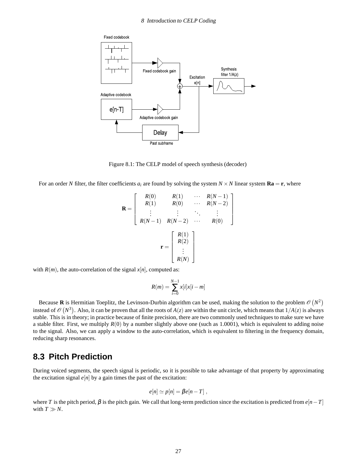

Figure 8.1: The CELP model of speech synthesis (decoder)

For an order *N* filter, the filter coefficients  $a_i$  are found by solving the system  $N \times N$  linear system  $Ra = r$ , where

$$
\mathbf{R} = \begin{bmatrix} R(0) & R(1) & \cdots & R(N-1) \\ R(1) & R(0) & \cdots & R(N-2) \\ \vdots & \vdots & \ddots & \vdots \\ R(N-1) & R(N-2) & \cdots & R(0) \end{bmatrix}
$$

$$
\mathbf{r} = \begin{bmatrix} R(1) \\ R(2) \\ \vdots \\ R(N) \end{bmatrix}
$$

with  $R(m)$ , the auto-correlation of the signal  $x[n]$ , computed as:

$$
R(m) = \sum_{i=0}^{N-1} x[i]x[i-m]
$$

Because **R** is Hermitian Toeplitz, the Levinson-Durbin algorithm can be used, making the solution to the problem  $\mathcal{O}(N^2)$ instead of  $\mathcal{O}(N^3)$ . Also, it can be proven that all the roots of  $A(z)$  are within the unit circle, which means that  $1/A(z)$  is always stable. This is in theory; in practice because of finite precision, there are two commonly used techniques to make sure we have a stable filter. First, we multiply  $R(0)$  by a number slightly above one (such as 1.0001), which is equivalent to adding noise to the signal. Also, we can apply a window to the auto-correlation, which is equivalent to filtering in the frequency domain, reducing sharp resonances.

### **8.3 Pitch Prediction**

During voiced segments, the speech signal is periodic, so it is possible to take advantage of that property by approximating the excitation signal  $e[n]$  by a gain times the past of the excitation:

$$
e[n] \simeq p[n] = \beta e[n - T],
$$

where *T* is the pitch period,  $\beta$  is the pitch gain. We call that long-term prediction since the excitation is predicted from *e*[ $n-T$ ] with  $T \gg N$ .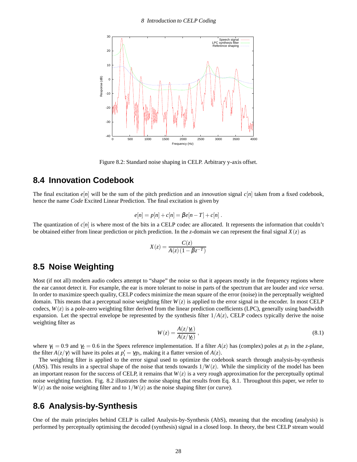#### <sup>8</sup> Introduction to CELP Coding



Figure 8.2: Standard noise shaping in CELP. Arbitrary y-axis offset.

### **8.4 Innovation Codebook**

The final excitation *e*[*n*] will be the sum of the pitch prediction and an *innovation* signal *c*[*n*] taken from a fixed codebook, hence the name *Code* Excited Linear Prediction. The final excitation is given by

$$
e[n] = p[n] + c[n] = \beta e[n - T] + c[n].
$$

The quantization of  $c[n]$  is where most of the bits in a CELP codec are allocated. It represents the information that couldn't be obtained either from linear prediction or pitch prediction. In the *z*-domain we can represent the final signal  $X(z)$  as

$$
X(z) = \frac{C(z)}{A(z)\left(1 - \beta z^{-T}\right)}
$$

### **8.5 Noise Weighting**

Most (if not all) modern audio codecs attempt to "shape" the noise so that it appears mostly in the frequency regions where the ear cannot detect it. For example, the ear is more tolerant to noise in parts of the spectrum that are louder and *vice versa*. In order to maximize speech quality, CELP codecs minimize the mean square of the error (noise) in the perceptually weighted domain. This means that a perceptual noise weighting filter  $W(z)$  is applied to the error signal in the encoder. In most CELP codecs,  $W(z)$  is a pole-zero weighting filter derived from the linear prediction coefficients (LPC), generally using bandwidth expansion. Let the spectral envelope be represented by the synthesis filter  $1/A(z)$ , CELP codecs typically derive the noise weighting filter as

$$
W(z) = \frac{A(z/\gamma_1)}{A(z/\gamma_2)}\,,\tag{8.1}
$$

where  $\gamma_1 = 0.9$  and  $\gamma_2 = 0.6$  in the Speex reference implementation. If a filter  $A(z)$  has (complex) poles at  $p_i$  in the *z*-plane, the filter  $A(z/\gamma)$  will have its poles at  $p'_i = \gamma p_i$ , making it a flatter version of  $A(z)$ .

The weighting filter is applied to the error signal used to optimize the codebook search through analysis-by-synthesis (AbS). This results in a spectral shape of the noise that tends towards  $1/W(z)$ . While the simplicity of the model has been an important reason for the success of CELP, it remains that  $W(z)$  is a very rough approximation for the perceptually optimal noise weighting function. Fig. 8.2 illustrates the noise shaping that results from Eq. 8.1. Throughout this paper, we refer to  $W(z)$  as the noise weighting filter and to  $1/W(z)$  as the noise shaping filter (or curve).

#### **8.6 Analysis-by-Synthesis**

One of the main principles behind CELP is called Analysis-by-Synthesis (AbS), meaning that the encoding (analysis) is performed by perceptually optimising the decoded (synthesis) signal in a closed loop. In theory, the best CELP stream would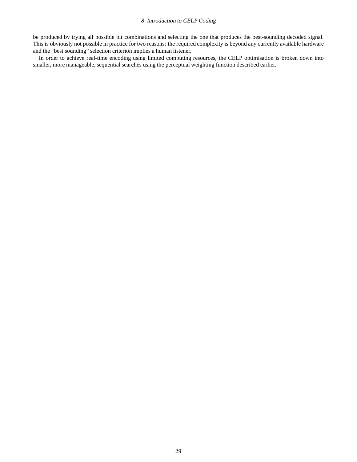#### <sup>8</sup> Introduction to CELP Coding

be produced by trying all possible bit combinations and selecting the one that produces the best-sounding decoded signal. This is obviously not possible in practice for two reasons: the required complexity is beyond any currently available hardware and the "best sounding" selection criterion implies a human listener.

In order to achieve real-time encoding using limited computing resources, the CELP optimisation is broken down into smaller, more manageable, sequential searches using the perceptual weighting function described earlier.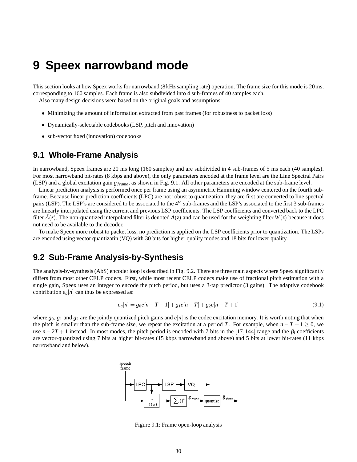# **9 Speex narrowband mode**

This section looks at how Speex works for narrowband (8kHz sampling rate) operation. The frame size for this mode is 20ms, corresponding to 160 samples. Each frame is also subdivided into 4 sub-frames of 40 samples each.

Also many design decisions were based on the original goals and assumptions:

- Minimizing the amount of information extracted from past frames (for robustness to packet loss)
- Dynamically-selectable codebooks (LSP, pitch and innovation)
- sub-vector fixed (innovation) codebooks

#### **9.1 Whole-Frame Analysis**

In narrowband, Speex frames are 20 ms long (160 samples) and are subdivided in 4 sub-frames of 5 ms each (40 samples). For most narrowband bit-rates (8 kbps and above), the only parameters encoded at the frame level are the Line Spectral Pairs (LSP) and a global excitation gain *g*<sub>frame</sub>, as shown in Fig. 9.1. All other parameters are encoded at the sub-frame level.

Linear prediction analysis is performed once per frame using an asymmetric Hamming window centered on the fourth subframe. Because linear prediction coefficients (LPC) are not robust to quantization, they are first are converted to line spectral pairs (LSP). The LSP's are considered to be associated to the 4 *th* sub-frames and the LSP's associated to the first 3 sub-frames are linearly interpolated using the current and previous LSP coefficients. The LSP coefficients and converted back to the LPC filter  $\hat{A}(z)$ . The non-quantized interpolated filter is denoted  $A(z)$  and can be used for the weighting filter  $W(z)$  because it does not need to be available to the decoder.

To make Speex more robust to packet loss, no prediction is applied on the LSP coefficients prior to quantization. The LSPs are encoded using vector quantizatin (VQ) with 30 bits for higher quality modes and 18 bits for lower quality.

### **9.2 Sub-Frame Analysis-by-Synthesis**

The analysis-by-synthesis (AbS) encoder loop is described in Fig. 9.2. There are three main aspects where Speex significantly differs from most other CELP codecs. First, while most recent CELP codecs make use of fractional pitch estimation with a single gain, Speex uses an integer to encode the pitch period, but uses a 3-tap predictor (3 gains). The adaptive codebook contribution  $e_a[n]$  can thus be expressed as:

$$
e_a[n] = g_0e[n - T - 1] + g_1e[n - T] + g_2e[n - T + 1]
$$
\n(9.1)

where  $g_0$ ,  $g_1$  and  $g_2$  are the jointly quantized pitch gains and  $e[n]$  is the codec excitation memory. It is worth noting that when the pitch is smaller than the sub-frame size, we repeat the excitation at a period *T*. For example, when  $n - T + 1 \ge 0$ , we use  $n-2T+1$  instead. In most modes, the pitch period is encoded with 7 bits in the [17,144] range and the  $\beta_i$  coefficients are vector-quantized using 7 bits at higher bit-rates (15 kbps narrowband and above) and 5 bits at lower bit-rates (11 kbps narrowband and below).



Figure 9.1: Frame open-loop analysis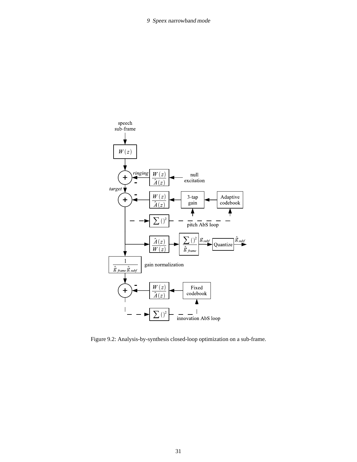

Figure 9.2: Analysis-by-synthesis closed-loop optimization on a sub-frame.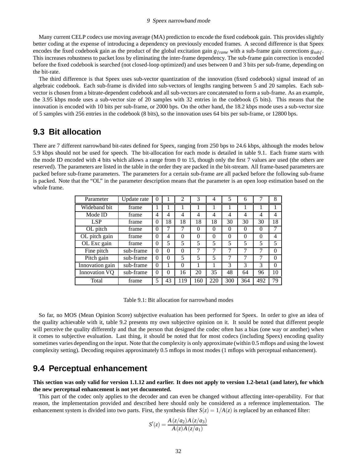#### <sup>9</sup> Speex narrowband mode

Many current CELP codecs use moving average (MA) prediction to encode the fixed codebook gain. This provides slightly better coding at the expense of introducing a dependency on previously encoded frames. A second difference is that Speex encodes the fixed codebook gain as the product of the global excitation gain  $g_{frame}$  with a sub-frame gain corrections  $g_{subf}$ . This increases robustness to packet loss by eliminating the inter-frame dependency. The sub-frame gain correction is encoded before the fixed codebook is searched (not closed-loop optimized) and uses between 0 and 3 bits per sub-frame, depending on the bit-rate.

The third difference is that Speex uses sub-vector quantization of the innovation (fixed codebook) signal instead of an algebraic codebook. Each sub-frame is divided into sub-vectors of lengths ranging between 5 and 20 samples. Each subvector is chosen from a bitrate-dependent codebook and all sub-vectors are concatenated to form a sub-frame. As an example, the 3.95 kbps mode uses a sub-vector size of 20 samples with 32 entries in the codebook (5 bits). This means that the innovation is encoded with 10 bits per sub-frame, or 2000 bps. On the other hand, the 18.2 kbps mode uses a sub-vector size of 5 samples with 256 entries in the codebook (8 bits), so the innovation uses 64 bits per sub-frame, or 12800 bps.

### **9.3 Bit allocation**

There are 7 different narrowband bit-rates defined for Speex, ranging from 250 bps to 24.6 kbps, although the modes below 5.9 kbps should not be used for speech. The bit-allocation for each mode is detailed in table 9.1. Each frame starts with the mode ID encoded with 4 bits which allows a range from 0 to 15, though only the first 7 values are used (the others are reserved). The parameters are listed in the table in the order they are packed in the bit-stream. All frame-based parameters are packed before sub-frame parameters. The parameters for a certain sub-frame are all packed before the following sub-frame is packed. Note that the "OL" in the parameter description means that the parameter is an open loop estimation based on the whole frame.

| Parameter       | Update rate | $\theta$ |          | 2                        | 3                        | 4   | 5        | 6        |          | 8                        |
|-----------------|-------------|----------|----------|--------------------------|--------------------------|-----|----------|----------|----------|--------------------------|
|                 |             |          |          |                          |                          |     |          |          |          |                          |
| Wideband bit    | frame       |          |          |                          |                          |     |          |          |          |                          |
| Mode ID         | frame       | 4        | 4        | $\overline{4}$           | 4                        | 4   | 4        | 4        | 4        | 4                        |
| <b>LSP</b>      | frame       | $\Omega$ | 18       | 18                       | 18                       | 18  | 30       | 30       | 30       | 18                       |
| OL pitch        | frame       | $\Omega$ |          |                          | 0                        | 0   | 0        | $\Omega$ | $\theta$ | 7                        |
| OL pitch gain   | frame       | $\Omega$ | 4        | 0                        | $\Omega$                 | 0   | $\theta$ | $\Omega$ | $\theta$ | 4                        |
| OL Exc gain     | frame       | $\theta$ | 5        | $\overline{\mathcal{L}}$ | 5                        | 5   | 5        | 5        | 5        | $\overline{\phantom{0}}$ |
| Fine pitch      | sub-frame   | $\Omega$ | 0        | $\Omega$                 | 7                        | 7   |          | 7        | 7        | $\Omega$                 |
| Pitch gain      | sub-frame   | $\theta$ | $\Omega$ | $\overline{\mathcal{L}}$ | $\overline{\phantom{0}}$ | 5   |          | 7        | 7        | 0                        |
| Innovation gain | sub-frame   | $\theta$ |          | $\Omega$                 |                          |     | 3        | 3        | 3        | 0                        |
| Innovation VQ   | sub-frame   | $\Omega$ | 0        | 16                       | 20                       | 35  | 48       | 64       | 96       | 10                       |
| Total           | frame       | 5        | 43       | 119                      | 160                      | 220 | 300      | 364      | 492      | 79                       |

Table 9.1: Bit allocation for narrowband modes

So far, no MOS (Mean Opinion Score) subjective evaluation has been performed for Speex. In order to give an idea of the quality achievable with it, table 9.2 presents my own subjective opinion on it. It sould be noted that different people will perceive the quality differently and that the person that designed the codec often has a bias (one way or another) when it comes to subjective evaluation. Last thing, it should be noted that for most codecs (including Speex) encoding quality sometimes varies depending on the input. Note that the complexity is only approximate (within 0.5 mflops and using the lowest complexity setting). Decoding requires approximately 0.5 mflops in most modes (1 mflops with perceptual enhancement).

### **9.4 Perceptual enhancement**

**This section was only valid for version 1.1.12 and earlier. It does not apply to version 1.2-beta1 (and later), for which the new perceptual enhancement is not yet documented.**

This part of the codec only applies to the decoder and can even be changed without affecting inter-operability. For that reason, the implementation provided and described here should only be considered as a reference implementation. The enhancement system is divided into two parts. First, the synthesis filter  $S(z) = 1/A(z)$  is replaced by an enhanced filter:

$$
S'(z) = \frac{A(z/a_2)A(z/a_3)}{A(z)A(z/a_1)}
$$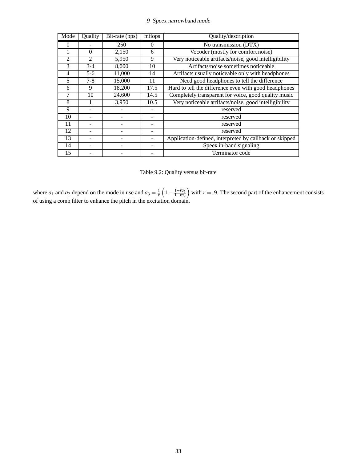#### Speex narrowband mode

| Mode           | Quality        | $\overline{\text{Bit-rate}}$ (bps) | mflops   | Quality/description                                     |
|----------------|----------------|------------------------------------|----------|---------------------------------------------------------|
| 0              |                | 250                                | $\theta$ | No transmission (DTX)                                   |
|                | $\Omega$       | 2,150                              | 6        | Vocoder (mostly for comfort noise)                      |
| $\overline{c}$ | $\overline{2}$ | 5,950                              | 9        | Very noticeable artifacts/noise, good intelligibility   |
| 3              | $3-4$          | 8,000                              | 10       | Artifacts/noise sometimes noticeable                    |
| 4              | $5-6$          | 11,000                             | 14       | Artifacts usually noticeable only with headphones       |
| 5              | $7 - 8$        | 15,000                             | 11       | Need good headphones to tell the difference             |
| 6              | 9              | 18,200                             | 17.5     | Hard to tell the difference even with good headphones   |
| 7              | 10             | 24,600                             | 14.5     | Completely transparent for voice, good quality music    |
| 8              |                | 3,950                              | 10.5     | Very noticeable artifacts/noise, good intelligibility   |
| 9              |                |                                    |          | reserved                                                |
| 10             |                |                                    |          | reserved                                                |
| 11             |                |                                    |          | reserved                                                |
| 12             |                |                                    |          | reserved                                                |
| 13             |                |                                    |          | Application-defined, interpreted by callback or skipped |
| 14             |                |                                    |          | Speex in-band signaling                                 |
| 15             |                |                                    |          | Terminator code                                         |

Table 9.2: Quality versus bit-rate

where *a*<sub>1</sub> and *a*<sub>2</sub> depend on the mode in use and  $a_3 = \frac{1}{r} \left(1 - \frac{1 - ra_1}{1 - ra_2}\right)$  $\frac{1-ra_1}{1-ra_2}$  with *r* = .9. The second part of the enhancement consists of using a comb filter to enhance the pitch in the excitation domain.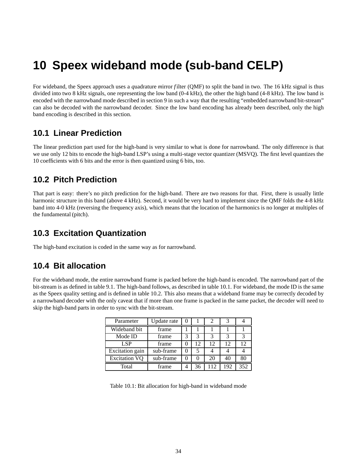# **10 Speex wideband mode (sub-band CELP)**

For wideband, the Speex approach uses a *quadrature mirror filter* (QMF) to split the band in two. The 16 kHz signal is thus divided into two 8 kHz signals, one representing the low band (0-4 kHz), the other the high band (4-8 kHz). The low band is encoded with the narrowband mode described in section 9 in such a way that the resulting "embedded narrowband bit-stream" can also be decoded with the narrowband decoder. Since the low band encoding has already been described, only the high band encoding is described in this section.

## **10.1 Linear Prediction**

The linear prediction part used for the high-band is very similar to what is done for narrowband. The only difference is that we use only 12 bits to encode the high-band LSP's using a multi-stage vector quantizer (MSVQ). The first level quantizes the 10 coefficients with 6 bits and the error is then quantized using 6 bits, too.

## **10.2 Pitch Prediction**

That part is easy: there's no pitch prediction for the high-band. There are two reasons for that. First, there is usually little harmonic structure in this band (above 4 kHz). Second, it would be very hard to implement since the QMF folds the 4-8 kHz band into 4-0 kHz (reversing the frequency axis), which means that the location of the harmonics is no longer at multiples of the fundamental (pitch).

## **10.3 Excitation Quantization**

The high-band excitation is coded in the same way as for narrowband.

## **10.4 Bit allocation**

For the wideband mode, the entire narrowband frame is packed before the high-band is encoded. The narrowband part of the bit-stream is as defined in table 9.1. The high-band follows, as described in table 10.1. For wideband, the mode ID is the same as the Speex quality setting and is defined in table 10.2. This also means that a wideband frame may be correctly decoded by a narrowband decoder with the only caveat that if more than one frame is packed in the same packet, the decoder will need to skip the high-band parts in order to sync with the bit-stream.

| Parameter            | Update rate | 0 |    |     |     |     |
|----------------------|-------------|---|----|-----|-----|-----|
| Wideband bit         | frame       |   |    |     |     |     |
| Mode ID              | frame       | 3 | 3  |     |     |     |
| LSP <sub>1</sub>     | frame       |   | 12 | 12  | 12  | 12  |
| Excitation gain      | sub-frame   | 0 | 5  |     |     |     |
| <b>Excitation VQ</b> | sub-frame   |   |    | 20  | 40  | 80  |
| Total                | frame       |   | 36 | 112 | 192 | 352 |

Table 10.1: Bit allocation for high-band in wideband mode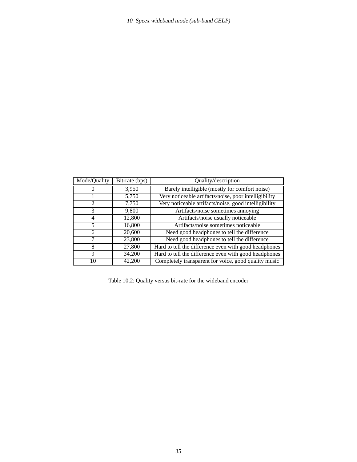Speex wideband mode (sub-band CELP)

| Mode/Quality   | Bit-rate (bps) | Quality/description                                   |
|----------------|----------------|-------------------------------------------------------|
|                | 3,950          | Barely intelligible (mostly for comfort noise)        |
|                | 5,750          | Very noticeable artifacts/noise, poor intelligibility |
| $\overline{2}$ | 7,750          | Very noticeable artifacts/noise, good intelligibility |
| 3              | 9,800          | Artifacts/noise sometimes annoying                    |
| 4              | 12,800         | Artifacts/noise usually noticeable                    |
| 5              | 16,800         | Artifacts/noise sometimes noticeable                  |
| 6              | 20,600         | Need good headphones to tell the difference           |
|                | 23,800         | Need good headphones to tell the difference           |
| 8              | 27,800         | Hard to tell the difference even with good headphones |
| 9              | 34,200         | Hard to tell the difference even with good headphones |
| 10             | 42,200         | Completely transparent for voice, good quality music  |

Table 10.2: Quality versus bit-rate for the wideband encoder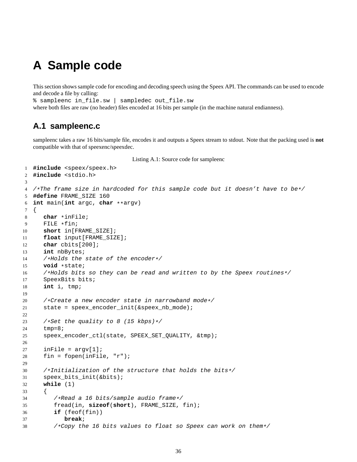# **A Sample code**

This section shows sample code for encoding and decoding speech using the Speex API. The commands can be used to encode and decode a file by calling:

% sampleenc in\_file.sw | sampledec out\_file.sw

where both files are raw (no header) files encoded at 16 bits per sample (in the machine natural endianness).

#### **A.1 sampleenc.c**

sampleenc takes a raw 16 bits/sample file, encodes it and outputs a Speex stream to stdout. Note that the packing used is **not** compatible with that of speexenc/speexdec.

Listing A.1: Source code for sampleenc

```
1 #include <speex/speex.h>
2 #include <stdio.h>
3
4 /*The frame size in hardcoded for this sample code but it doesn't have to be*/
5 #define FRAME_SIZE 160
6 int main(int argc, char **argv)
7 {
8 char *inFile;
9 FILE *fin;
10 short in[FRAME_SIZE];
11 float input[FRAME_SIZE];
12 char cbits[200];
13 int nbBytes;
14 /*Holds the state of the encoder*/
15 void *state;
16 /*Holds bits so they can be read and written to by the Speex routines*/
17 SpeexBits bits;
18 int i, tmp;
19
20 /*Create a new encoder state in narrowband mode*/
21 state = speex_encoder_init(&speex_nb_mode);
22
23 /*Set the quality to 8 (15 kbps)*/
24 tmp=8;
25 speex_encoder_ctl(state, SPEEX_SET_QUALITY, &tmp);
26
27 inFile = \arg\{1\};
28 fin = fopen(inFile, "r");
29
30 /*Initialization of the structure that holds the bits*/
31 speex_bits_init(&bits);
32 while (1)
33 {
34 /*Read a 16 bits/sample audio frame*/
35 fread(in, sizeof(short), FRAME_SIZE, fin);
36 if (feof(fin))
37 break;
38 /*Copy the 16 bits values to float so Speex can work on them*/
```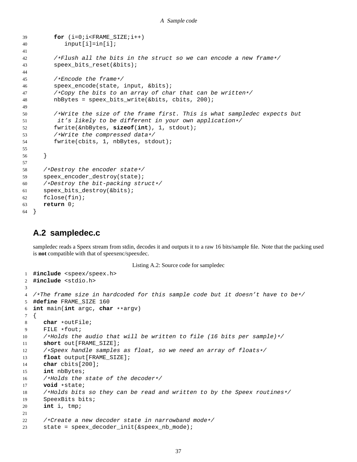```
39 for (i=0; i < FRAME SIZE;i++)
40 input[i]=in[i];41
42 \rightarrow /*Flush all the bits in the struct so we can encode a new frame*/
43 speex_bits_reset(&bits);
44
45 /*Encode the frame*/
46 speex_encode(state, input, &bits);
47 /*Copy the bits to an array of char that can be written*/
48 nbBytes = speex_bits_write(&bits, cbits, 200);
49
50 /*Write the size of the frame first. This is what sampledec expects but
51 it's likely to be different in your own application*/
52 fwrite(&nbBytes, sizeof(int), 1, stdout);
53 /*Write the compressed data*/
54 fwrite(cbits, 1, nbBytes, stdout);
55
56 }
57
58 /*Destroy the encoder state*/
59 speex_encoder_destroy(state);
60 /*Destroy the bit-packing struct*/
61 speex_bits_destroy(&bits);
62 fclose(fin);
63 return 0;
64 }
```
## **A.2 sampledec.c**

sampledec reads a Speex stream from stdin, decodes it and outputs it to a raw 16 bits/sample file. Note that the packing used is **not** compatible with that of speexenc/speexdec.

Listing A.2: Source code for sampledec

```
1 #include <speex/speex.h>
2 #include <stdio.h>
3
4 /*The frame size in hardcoded for this sample code but it doesn't have to be*/
5 #define FRAME_SIZE 160
6 int main(int argc, char **argv)
7 {
8 char *outFile;
9 FILE *fout;
10 \rightarrow +Holds the audio that will be written to file (16 bits per sample)*/
11 short out[FRAME_SIZE];
12 /*Speex handle samples as float, so we need an array of floats*/
13 float output[FRAME_SIZE];
14 char cbits[200];
15 int nbBytes;
16 /*Holds the state of the decoder*/
17 void *state;
18 /*Holds bits so they can be read and written to by the Speex routines*/
19 SpeexBits bits;
20 int i, tmp;
21
22 /*Create a new decoder state in narrowband mode*/
23 state = speex_decoder_init(&speex_nb_mode);
```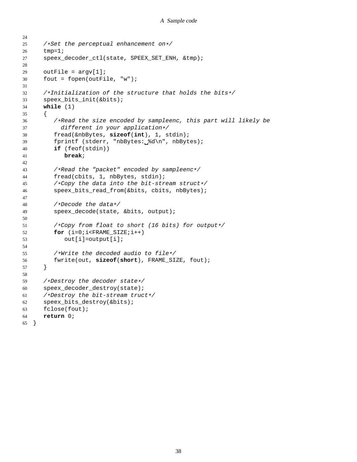```
24
25 /*Set the perceptual enhancement on*/
26 tmp=1;
27 speex_decoder_ctl(state, SPEEX_SET_ENH, &tmp);
28
29 outFile = \text{argv}[1];
30 fout = fopen(outFile, "w");
31
32 /*Initialization of the structure that holds the bits*/
33 speex_bits_init(&bits);
34 while (1)
35 {
36 /*Read the size encoded by sampleenc, this part will likely be
37 different in your application*/
38 fread(&nbBytes, sizeof(int), 1, stdin);
39 fprintf (stderr, "nbBytes: %d\n", nbBytes);
40 if (feof(stdin))
41 break;
42
43 /*Read the "packet" encoded by sampleenc*/
44 fread(cbits, 1, nbBytes, stdin);
45 /*Copy the data into the bit-stream struct*/
46 speex_bits_read_from(&bits, cbits, nbBytes);
47
48 /*Decode the data*/
49 speex_decode(state, &bits, output);
50
51 /*Copy from float to short (16 bits) for output*/
52 for (i=0; i <b>FRAME</b> <math>SIZE; i++)</math>53 out[i]=output[i];
54
55 /*Write the decoded audio to file*/
56 fwrite(out, sizeof(short), FRAME_SIZE, fout);
57 }
58
59 /*Destroy the decoder state*/
60 speex_decoder_destroy(state);
61 /*Destroy the bit-stream truct*/
62 speex_bits_destroy(&bits);
63 fclose(fout);
64 return 0;
65 }
```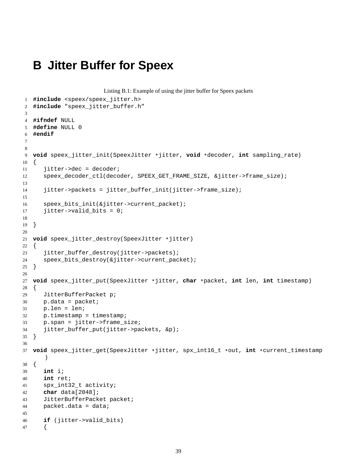# **B Jitter Buffer for Speex**

Listing B.1: Example of using the jitter buffer for Speex packets

```
1 #include <speex/speex_jitter.h>
2 #include "speex_jitter_buffer.h"
3
4 #ifndef NULL
5 #define NULL 0
6 #endif
7
8
9 void speex_jitter_init(SpeexJitter *jitter, void *decoder, int sampling_rate)
10 \{11 jitter->dec = decoder;
12 speex_decoder_ctl(decoder, SPEEX_GET_FRAME_SIZE, &jitter->frame_size);
13
14 jitter->packets = jitter_buffer_init(jitter->frame_size);
15
16 speex_bits_init(&jitter->current_packet);
17 jitter->valid bits = 0;
18
19 }
20
21 void speex_jitter_destroy(SpeexJitter *jitter)
22 {
23 jitter_buffer_destroy(jitter->packets);
24 speex_bits_destroy(&jitter->current_packet);
25 }
26
27 void speex_jitter_put(SpeexJitter *jitter, char *packet, int len, int timestamp)
28 {
29 JitterBufferPacket p;
30 p.data = packet;
31 p.len = len;
32 p.timestamp = timestamp;
33 p.span = jitter->frame_size;
34 jitter_buffer_put(jitter->packets, &p);
35 }
36
37 void speex_jitter_get(SpeexJitter *jitter, spx_int16_t *out, int *current_timestamp
      )
38 {
39 int i;
40 int ret;
41 spx_int32_t activity;
42 char data[2048];
43 JitterBufferPacket packet;
44 packet.data = data;
45
46 if (jitter->valid_bits)
47 {
```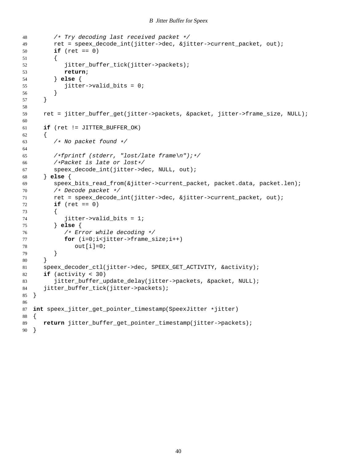```
48 /* Try decoding last received packet */
49 ret = speex_decode_int(jitter->dec, &jitter->current_packet, out);
50 if (ret == 0)
51 {
52 jitter_buffer_tick(jitter->packets);
53 return;
54 } else {
55 jitter->valid_bits = 0;
56 }
57 }
58
59 ret = jitter buffer qet(jitter->packets, &packet, jitter->frame size, NULL);
60
61 if (ret != JITTER_BUFFER_OK)
62 {
63 /* No packet found */
64
65 /*fprintf (stderr, "lost/late frame\n");*/
66 /*Packet is late or lost*/
67 speex_decode_int(jitter->dec, NULL, out);
68 } else {
69 speex_bits_read_from(&jitter->current_packet, packet.data, packet.len);
70 /* Decode packet */
71 ret = speex_decode_int(jitter->dec, &jitter->current_packet, out);
72 if (ret == 0)
73 {
74 jitter->valid_bits = 1;
75 } else {
76 /* Error while decoding */
77 for (i=0; i < jitter->frame_size;i++)
78 out[i]=0;
79 }
80 }
81 speex_decoder_ctl(jitter->dec, SPEEX_GET_ACTIVITY, &activity);
82 if (activity < 30)
83 jitter_buffer_update_delay(jitter->packets, &packet, NULL);
84 jitter_buffer_tick(jitter->packets);
85 }
86
87 int speex_jitter_get_pointer_timestamp(SpeexJitter *jitter)
88 {
89 return jitter_buffer_get_pointer_timestamp(jitter->packets);
90 }
```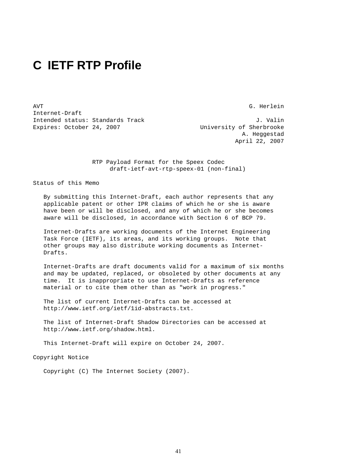# **C IETF RTP Profile**

AVT G. Herlein Internet-Draft Intended status: Standards Track J. Valin Expires: October 24, 2007 University of Sherbrooke

A. Heggestad April 22, 2007

RTP Payload Format for the Speex Codec draft-ietf-avt-rtp-speex-01 (non-final)

Status of this Memo

By submitting this Internet-Draft, each author represents that any applicable patent or other IPR claims of which he or she is aware have been or will be disclosed, and any of which he or she becomes aware will be disclosed, in accordance with Section 6 of BCP 79.

Internet-Drafts are working documents of the Internet Engineering Task Force (IETF), its areas, and its working groups. Note that other groups may also distribute working documents as Internet-Drafts.

Internet-Drafts are draft documents valid for a maximum of six months and may be updated, replaced, or obsoleted by other documents at any time. It is inappropriate to use Internet-Drafts as reference material or to cite them other than as "work in progress."

The list of current Internet-Drafts can be accessed at http://www.ietf.org/ietf/1id-abstracts.txt.

The list of Internet-Draft Shadow Directories can be accessed at http://www.ietf.org/shadow.html.

This Internet-Draft will expire on October 24, 2007.

Copyright Notice

Copyright (C) The Internet Society (2007).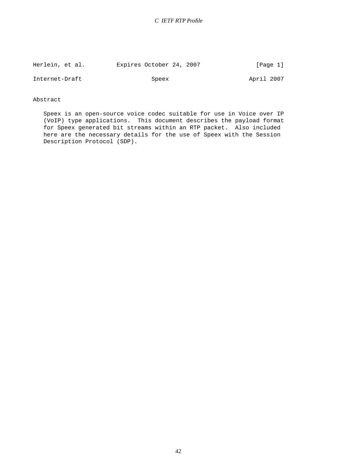| Herlein, et al. | Expires October 24, 2007 | [Page 1]   |
|-----------------|--------------------------|------------|
| Internet-Draft  | Speex                    | April 2007 |

#### Abstract

Speex is an open-source voice codec suitable for use in Voice over IP (VoIP) type applications. This document describes the payload format for Speex generated bit streams within an RTP packet. Also included here are the necessary details for the use of Speex with the Session Description Protocol (SDP).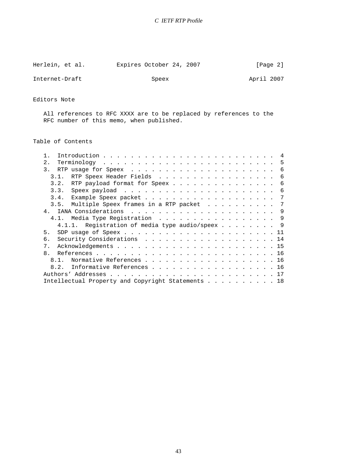| Herlein, et al. | Expires October 24, 2007 | [Page 2]   |
|-----------------|--------------------------|------------|
| Internet-Draft  | Speex                    | April 2007 |

#### Editors Note

All references to RFC XXXX are to be replaced by references to the RFC number of this memo, when published.

#### Table of Contents

| $1$ .                                                      | 4  |  |  |  |  |  |  |
|------------------------------------------------------------|----|--|--|--|--|--|--|
| $2$ .<br>- 5                                               |    |  |  |  |  |  |  |
|                                                            | 6  |  |  |  |  |  |  |
| RTP Speex Header Fields<br>3.1.                            | 6  |  |  |  |  |  |  |
| RTP payload format for Speex<br>3.2.                       | 6  |  |  |  |  |  |  |
|                                                            | 6  |  |  |  |  |  |  |
|                                                            | 7  |  |  |  |  |  |  |
| Multiple Speex frames in a RTP packet<br>3.5.              | 7  |  |  |  |  |  |  |
|                                                            |    |  |  |  |  |  |  |
| 4.1. Media Type Registration 9                             |    |  |  |  |  |  |  |
| 4.1.1. Registration of media type audio/speex 9            |    |  |  |  |  |  |  |
| 5.                                                         |    |  |  |  |  |  |  |
| Security Considerations 14<br>б.                           |    |  |  |  |  |  |  |
| 7.                                                         |    |  |  |  |  |  |  |
| 8 <sub>1</sub>                                             |    |  |  |  |  |  |  |
| Normative References 16<br>$8.1$ .                         |    |  |  |  |  |  |  |
| Informative References<br>8.2.                             | 16 |  |  |  |  |  |  |
|                                                            | 17 |  |  |  |  |  |  |
| Intellectual Property and Copyright Statements $\ldots$ 18 |    |  |  |  |  |  |  |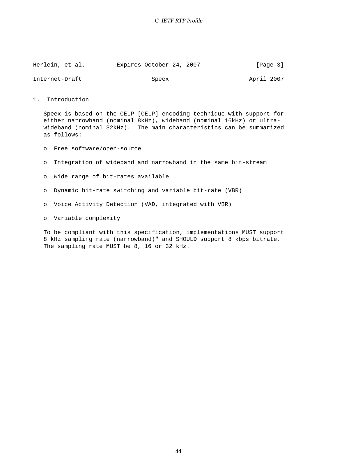| Herlein, et al. | Expires October 24, 2007 | [Page 3]   |
|-----------------|--------------------------|------------|
| Internet-Draft  | Speex                    | April 2007 |

1. Introduction

Speex is based on the CELP [CELP] encoding technique with support for either narrowband (nominal 8kHz), wideband (nominal 16kHz) or ultrawideband (nominal 32kHz). The main characteristics can be summarized as follows:

- o Free software/open-source
- o Integration of wideband and narrowband in the same bit-stream
- o Wide range of bit-rates available
- o Dynamic bit-rate switching and variable bit-rate (VBR)
- o Voice Activity Detection (VAD, integrated with VBR)
- o Variable complexity

To be compliant with this specification, implementations MUST support 8 kHz sampling rate (narrowband)" and SHOULD support 8 kbps bitrate. The sampling rate MUST be 8, 16 or 32 kHz.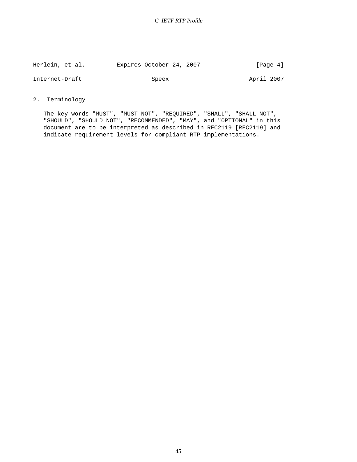<sup>C</sup> IETF RTP Profile

| Herlein, et al. | Expires October 24, 2007 | [Page 4]   |
|-----------------|--------------------------|------------|
| Internet-Draft  | Speex                    | April 2007 |

2. Terminology

The key words "MUST", "MUST NOT", "REQUIRED", "SHALL", "SHALL NOT", "SHOULD", "SHOULD NOT", "RECOMMENDED", "MAY", and "OPTIONAL" in this document are to be interpreted as described in RFC2119 [RFC2119] and indicate requirement levels for compliant RTP implementations.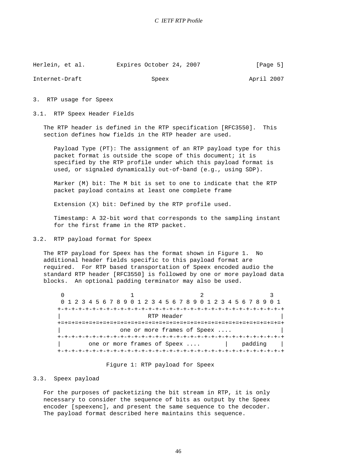| Herlein, et al. | Expires October 24, 2007 | [Page 5] |
|-----------------|--------------------------|----------|
|-----------------|--------------------------|----------|

Internet-Draft Speex Speex April 2007

3. RTP usage for Speex

3.1. RTP Speex Header Fields

The RTP header is defined in the RTP specification [RFC3550]. This section defines how fields in the RTP header are used.

Payload Type (PT): The assignment of an RTP payload type for this packet format is outside the scope of this document; it is specified by the RTP profile under which this payload format is used, or signaled dynamically out-of-band (e.g., using SDP).

Marker (M) bit: The M bit is set to one to indicate that the RTP packet payload contains at least one complete frame

Extension (X) bit: Defined by the RTP profile used.

Timestamp: A 32-bit word that corresponds to the sampling instant for the first frame in the RTP packet.

3.2. RTP payload format for Speex

The RTP payload for Speex has the format shown in Figure 1. No additional header fields specific to this payload format are required. For RTP based transportation of Speex encoded audio the standard RTP header [RFC3550] is followed by one or more payload data blocks. An optional padding terminator may also be used.

0  $1$   $2$   $3$ 0 1 2 3 4 5 6 7 8 9 0 1 2 3 4 5 6 7 8 9 0 1 2 3 4 5 6 7 8 9 0 1 +-+-+-+-+-+-+-+-+-+-+-+-+-+-+-+-+-+-+-+-+-+-+-+-+-+-+-+-+-+-+-+-+ | RTP Header | +=+=+=+=+=+=+=+=+=+=+=+=+=+=+=+=+=+=+=+=+=+=+=+=+=+=+=+=+=+=+=+=+ one or more frames of Speex .... +-+-+-+-+-+-+-+-+-+-+-+-+-+-+-+-+-+-+-+-+-+-+-+-+-+-+-+-+-+-+-+-+ one or more frames of Speex .... | padding | +-+-+-+-+-+-+-+-+-+-+-+-+-+-+-+-+-+-+-+-+-+-+-+-+-+-+-+-+-+-+-+-+

Figure 1: RTP payload for Speex

#### 3.3. Speex payload

For the purposes of packetizing the bit stream in RTP, it is only necessary to consider the sequence of bits as output by the Speex encoder [speexenc], and present the same sequence to the decoder. The payload format described here maintains this sequence.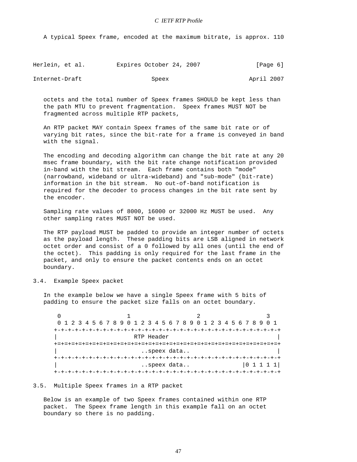#### <sup>C</sup> IETF RTP Profile

A typical Speex frame, encoded at the maximum bitrate, is approx. 110

| Herlein, et al. | Expires October 24, 2007 | [Page 6]   |
|-----------------|--------------------------|------------|
| Internet-Draft  | Speex                    | April 2007 |

octets and the total number of Speex frames SHOULD be kept less than the path MTU to prevent fragmentation. Speex frames MUST NOT be fragmented across multiple RTP packets,

An RTP packet MAY contain Speex frames of the same bit rate or of varying bit rates, since the bit-rate for a frame is conveyed in band with the signal.

The encoding and decoding algorithm can change the bit rate at any 20 msec frame boundary, with the bit rate change notification provided in-band with the bit stream. Each frame contains both "mode" (narrowband, wideband or ultra-wideband) and "sub-mode" (bit-rate) information in the bit stream. No out-of-band notification is required for the decoder to process changes in the bit rate sent by the encoder.

Sampling rate values of 8000, 16000 or 32000 Hz MUST be used. Any other sampling rates MUST NOT be used.

The RTP payload MUST be padded to provide an integer number of octets as the payload length. These padding bits are LSB aligned in network octet order and consist of a 0 followed by all ones (until the end of the octet). This padding is only required for the last frame in the packet, and only to ensure the packet contents ends on an octet boundary.

3.4. Example Speex packet

In the example below we have a single Speex frame with 5 bits of padding to ensure the packet size falls on an octet boundary.

| 0 1 2 3 4 5 6 7 8 9 0 1 2 3 4 5 6 7 8 9 0 1 2 3 4 5 6 7 8 9 0 1 |            |       |
|-----------------------------------------------------------------|------------|-------|
|                                                                 |            |       |
| RTP Header                                                      |            |       |
|                                                                 |            |       |
|                                                                 | speex data |       |
|                                                                 |            |       |
|                                                                 | speex data | 01111 |
|                                                                 |            |       |

#### 3.5. Multiple Speex frames in a RTP packet

Below is an example of two Speex frames contained within one RTP packet. The Speex frame length in this example fall on an octet boundary so there is no padding.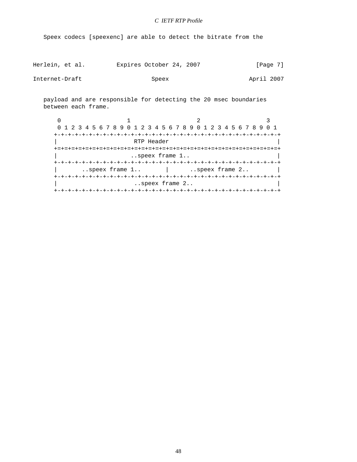#### <sup>C</sup> IETF RTP Profile

Speex codecs [speexenc] are able to detect the bitrate from the

| Herlein, et al. | Expires October 24, 2007 | [Page 7]   |
|-----------------|--------------------------|------------|
| Internet-Draft  | Speex                    | April 2007 |

payload and are responsible for detecting the 20 msec boundaries between each frame.

| 0 1 2 3 4 5 6 7 8 9 0 1 2 3 4 5 6 7 8 9 0 1 2 3 4 5 6 7 8 9 0 1 |                       |                  |  |
|-----------------------------------------------------------------|-----------------------|------------------|--|
|                                                                 |                       |                  |  |
|                                                                 | RTP Header            |                  |  |
|                                                                 |                       |                  |  |
|                                                                 | speex frame 1         |                  |  |
|                                                                 |                       |                  |  |
| speex frame 1                                                   |                       | 1. Speex frame 2 |  |
|                                                                 |                       |                  |  |
|                                                                 | speex frame 2         |                  |  |
|                                                                 | -+-+-+-+-+-+-+-+-+-+- |                  |  |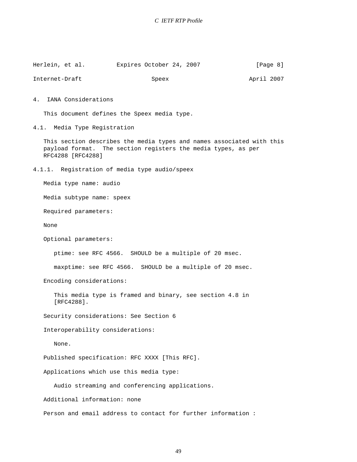| Internet-Draft                              | Speex | April 2007 |  |
|---------------------------------------------|-------|------------|--|
| IANA Considerations<br>4 <sup>1</sup>       |       |            |  |
| This document defines the Speex media type. |       |            |  |

Herlein, et al. Expires October 24, 2007 [Page 8]

4.1. Media Type Registration

This section describes the media types and names associated with this payload format. The section registers the media types, as per RFC4288 [RFC4288]

4.1.1. Registration of media type audio/speex

Media type name: audio

Media subtype name: speex

Required parameters:

None

Optional parameters:

ptime: see RFC 4566. SHOULD be a multiple of 20 msec.

maxptime: see RFC 4566. SHOULD be a multiple of 20 msec.

Encoding considerations:

This media type is framed and binary, see section 4.8 in [RFC4288].

Security considerations: See Section 6

Interoperability considerations:

None.

Published specification: RFC XXXX [This RFC].

Applications which use this media type:

Audio streaming and conferencing applications.

Additional information: none

Person and email address to contact for further information :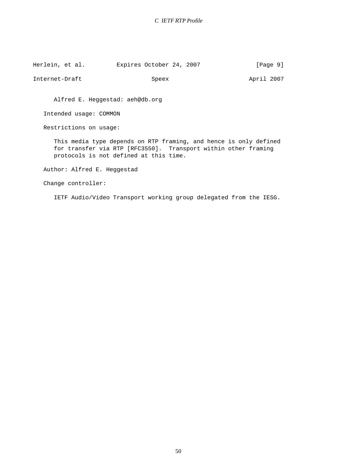Herlein, et al. Expires October 24, 2007 [Page 9]

Internet-Draft Speex Speex April 2007

Alfred E. Heggestad: aeh@db.org

Intended usage: COMMON

Restrictions on usage:

This media type depends on RTP framing, and hence is only defined for transfer via RTP [RFC3550]. Transport within other framing protocols is not defined at this time.

Author: Alfred E. Heggestad

Change controller:

IETF Audio/Video Transport working group delegated from the IESG.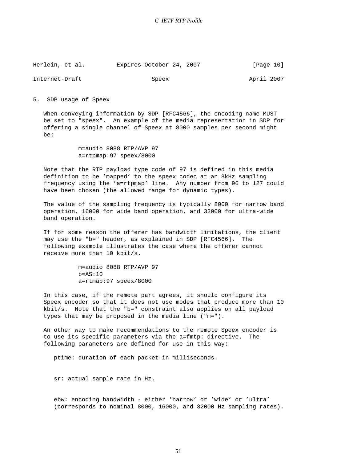| Herlein, et al. | Expires October 24, 2007 |  | [Page 10] |  |
|-----------------|--------------------------|--|-----------|--|
|                 |                          |  |           |  |

Internet-Draft Speex Speex April 2007

5. SDP usage of Speex

When conveying information by SDP [RFC4566], the encoding name MUST be set to "speex". An example of the media representation in SDP for offering a single channel of Speex at 8000 samples per second might be:

> m=audio 8088 RTP/AVP 97 a=rtpmap:97 speex/8000

Note that the RTP payload type code of 97 is defined in this media definition to be 'mapped' to the speex codec at an 8kHz sampling frequency using the 'a=rtpmap' line. Any number from 96 to 127 could have been chosen (the allowed range for dynamic types).

The value of the sampling frequency is typically 8000 for narrow band operation, 16000 for wide band operation, and 32000 for ultra-wide band operation.

If for some reason the offerer has bandwidth limitations, the client may use the "b=" header, as explained in SDP [RFC4566]. The following example illustrates the case where the offerer cannot receive more than 10 kbit/s.

> m=audio 8088 RTP/AVP 97  $b = AS:10$ a=rtmap:97 speex/8000

In this case, if the remote part agrees, it should configure its Speex encoder so that it does not use modes that produce more than 10 kbit/s. Note that the "b=" constraint also applies on all payload types that may be proposed in the media line ("m=").

An other way to make recommendations to the remote Speex encoder is to use its specific parameters via the a=fmtp: directive. The following parameters are defined for use in this way:

ptime: duration of each packet in milliseconds.

sr: actual sample rate in Hz.

ebw: encoding bandwidth - either 'narrow' or 'wide' or 'ultra' (corresponds to nominal 8000, 16000, and 32000 Hz sampling rates).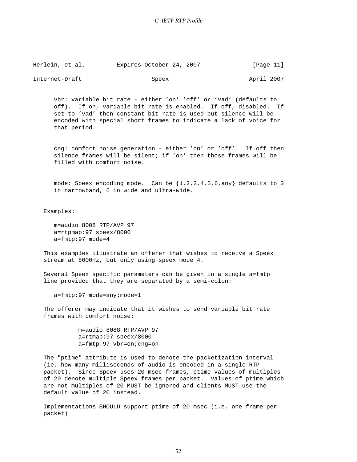<sup>C</sup> IETF RTP Profile

| Herlein, et al. | Expires October 24, 2007 |  | [Page 11] |  |
|-----------------|--------------------------|--|-----------|--|
|                 |                          |  |           |  |

Internet-Draft Speex Speex April 2007

vbr: variable bit rate - either 'on' 'off' or 'vad' (defaults to off). If on, variable bit rate is enabled. If off, disabled. If set to 'vad' then constant bit rate is used but silence will be encoded with special short frames to indicate a lack of voice for that period.

cng: comfort noise generation - either 'on' or 'off'. If off then silence frames will be silent; if 'on' then those frames will be filled with comfort noise.

mode: Speex encoding mode. Can be  $\{1, 2, 3, 4, 5, 6, \text{any}\}$  defaults to 3 in narrowband, 6 in wide and ultra-wide.

Examples:

m=audio 8008 RTP/AVP 97 a=rtpmap:97 speex/8000 a=fmtp:97 mode=4

This examples illustrate an offerer that wishes to receive a Speex stream at 8000Hz, but only using speex mode 4.

Several Speex specific parameters can be given in a single a=fmtp line provided that they are separated by a semi-colon:

a=fmtp:97 mode=any;mode=1

The offerer may indicate that it wishes to send variable bit rate frames with comfort noise:

```
m=audio 8088 RTP/AVP 97
a=rtmap:97 speex/8000
a=fmtp:97 vbr=on;cng=on
```
The "ptime" attribute is used to denote the packetization interval (ie, how many milliseconds of audio is encoded in a single RTP packet). Since Speex uses 20 msec frames, ptime values of multiples of 20 denote multiple Speex frames per packet. Values of ptime which are not multiples of 20 MUST be ignored and clients MUST use the default value of 20 instead.

Implementations SHOULD support ptime of 20 msec (i.e. one frame per packet)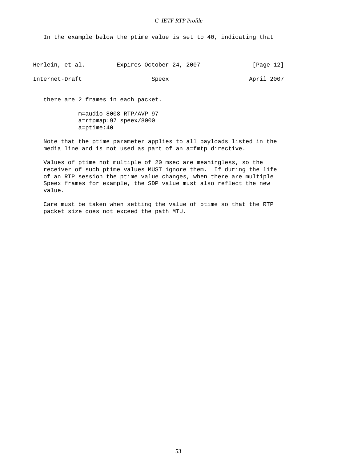#### <sup>C</sup> IETF RTP Profile

In the example below the ptime value is set to 40, indicating that

| Herlein, et al. | Expires October 24, 2007 | [Page 12]  |
|-----------------|--------------------------|------------|
| Internet-Draft  | Speex                    | April 2007 |

there are 2 frames in each packet.

m=audio 8008 RTP/AVP 97 a=rtpmap:97 speex/8000 a=ptime:40

Note that the ptime parameter applies to all payloads listed in the media line and is not used as part of an a=fmtp directive.

Values of ptime not multiple of 20 msec are meaningless, so the receiver of such ptime values MUST ignore them. If during the life of an RTP session the ptime value changes, when there are multiple Speex frames for example, the SDP value must also reflect the new value.

Care must be taken when setting the value of ptime so that the RTP packet size does not exceed the path MTU.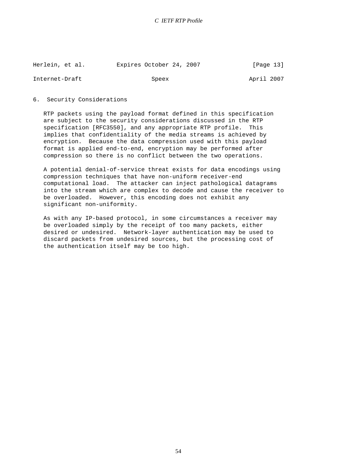| Herlein, et al. | Expires October 24, 2007 | [Page 13]  |
|-----------------|--------------------------|------------|
| Internet-Draft  | Speex                    | April 2007 |

#### 6. Security Considerations

RTP packets using the payload format defined in this specification are subject to the security considerations discussed in the RTP specification [RFC3550], and any appropriate RTP profile. This implies that confidentiality of the media streams is achieved by encryption. Because the data compression used with this payload format is applied end-to-end, encryption may be performed after compression so there is no conflict between the two operations.

A potential denial-of-service threat exists for data encodings using compression techniques that have non-uniform receiver-end computational load. The attacker can inject pathological datagrams into the stream which are complex to decode and cause the receiver to be overloaded. However, this encoding does not exhibit any significant non-uniformity.

As with any IP-based protocol, in some circumstances a receiver may be overloaded simply by the receipt of too many packets, either desired or undesired. Network-layer authentication may be used to discard packets from undesired sources, but the processing cost of the authentication itself may be too high.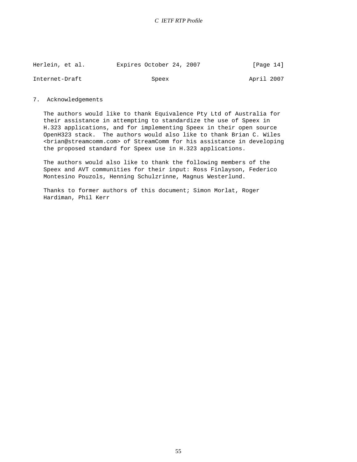<sup>C</sup> IETF RTP Profile

| Herlein, et al. | Expires October 24, 2007 | [Page $14$ ] |
|-----------------|--------------------------|--------------|
| Internet-Draft  | Speex                    | April 2007   |

7. Acknowledgements

The authors would like to thank Equivalence Pty Ltd of Australia for their assistance in attempting to standardize the use of Speex in H.323 applications, and for implementing Speex in their open source OpenH323 stack. The authors would also like to thank Brian C. Wiles <brian@streamcomm.com> of StreamComm for his assistance in developing the proposed standard for Speex use in H.323 applications.

The authors would also like to thank the following members of the Speex and AVT communities for their input: Ross Finlayson, Federico Montesino Pouzols, Henning Schulzrinne, Magnus Westerlund.

Thanks to former authors of this document; Simon Morlat, Roger Hardiman, Phil Kerr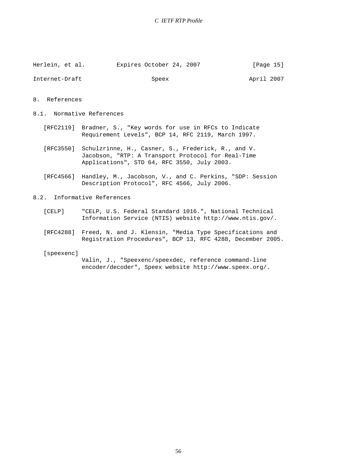| Herlein, et al. |  | Expires October 24, 2007 |  | [Page 15] |  |
|-----------------|--|--------------------------|--|-----------|--|
|                 |  |                          |  |           |  |

| Internet-Draft | Speex | April 2007 |  |
|----------------|-------|------------|--|
|----------------|-------|------------|--|

8. References

8.1. Normative References

- [RFC2119] Bradner, S., "Key words for use in RFCs to Indicate Requirement Levels", BCP 14, RFC 2119, March 1997.
- [RFC3550] Schulzrinne, H., Casner, S., Frederick, R., and V. Jacobson, "RTP: A Transport Protocol for Real-Time Applications", STD 64, RFC 3550, July 2003.
- [RFC4566] Handley, M., Jacobson, V., and C. Perkins, "SDP: Session Description Protocol", RFC 4566, July 2006.
- 8.2. Informative References
	- [CELP] "CELP, U.S. Federal Standard 1016.", National Technical Information Service (NTIS) website http://www.ntis.gov/.
	- [RFC4288] Freed, N. and J. Klensin, "Media Type Specifications and Registration Procedures", BCP 13, RFC 4288, December 2005.

[speexenc]

Valin, J., "Speexenc/speexdec, reference command-line encoder/decoder", Speex website http://www.speex.org/.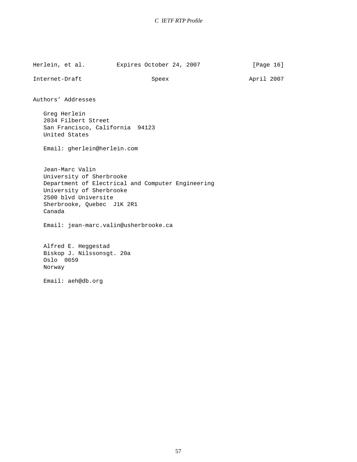Herlein, et al. Expires October 24, 2007 [Page 16] Internet-Draft Speex Speex April 2007 Authors' Addresses Greg Herlein 2034 Filbert Street San Francisco, California 94123 United States Email: gherlein@herlein.com Jean-Marc Valin University of Sherbrooke Department of Electrical and Computer Engineering University of Sherbrooke 2500 blvd Universite Sherbrooke, Quebec J1K 2R1 Canada Email: jean-marc.valin@usherbrooke.ca Alfred E. Heggestad Biskop J. Nilssonsgt. 20a Oslo 0659 Norway Email: aeh@db.org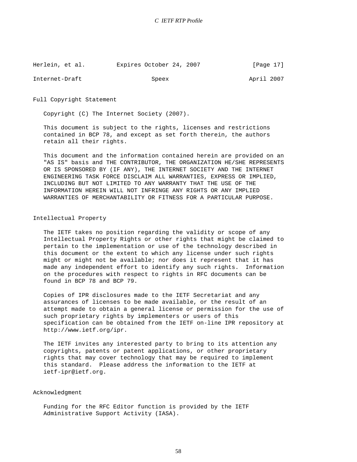| Herlein, et al. |  | Expires October 24, 2007 |  | [Page 17] |  |
|-----------------|--|--------------------------|--|-----------|--|
|                 |  |                          |  |           |  |

Internet-Draft Speex Speex April 2007

Full Copyright Statement

Copyright (C) The Internet Society (2007).

This document is subject to the rights, licenses and restrictions contained in BCP 78, and except as set forth therein, the authors retain all their rights.

This document and the information contained herein are provided on an "AS IS" basis and THE CONTRIBUTOR, THE ORGANIZATION HE/SHE REPRESENTS OR IS SPONSORED BY (IF ANY), THE INTERNET SOCIETY AND THE INTERNET ENGINEERING TASK FORCE DISCLAIM ALL WARRANTIES, EXPRESS OR IMPLIED, INCLUDING BUT NOT LIMITED TO ANY WARRANTY THAT THE USE OF THE INFORMATION HEREIN WILL NOT INFRINGE ANY RIGHTS OR ANY IMPLIED WARRANTIES OF MERCHANTABILITY OR FITNESS FOR A PARTICULAR PURPOSE.

#### Intellectual Property

The IETF takes no position regarding the validity or scope of any Intellectual Property Rights or other rights that might be claimed to pertain to the implementation or use of the technology described in this document or the extent to which any license under such rights might or might not be available; nor does it represent that it has made any independent effort to identify any such rights. Information on the procedures with respect to rights in RFC documents can be found in BCP 78 and BCP 79.

Copies of IPR disclosures made to the IETF Secretariat and any assurances of licenses to be made available, or the result of an attempt made to obtain a general license or permission for the use of such proprietary rights by implementers or users of this specification can be obtained from the IETF on-line IPR repository at http://www.ietf.org/ipr.

The IETF invites any interested party to bring to its attention any copyrights, patents or patent applications, or other proprietary rights that may cover technology that may be required to implement this standard. Please address the information to the IETF at ietf-ipr@ietf.org.

#### Acknowledgment

Funding for the RFC Editor function is provided by the IETF Administrative Support Activity (IASA).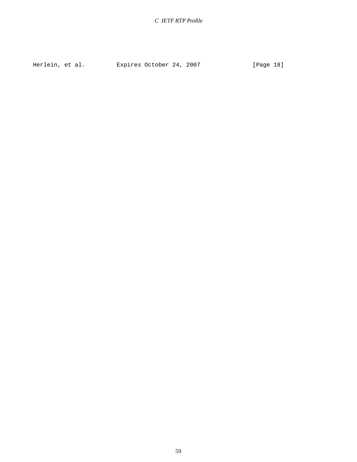Herlein, et al. Expires October 24, 2007 [Page 18]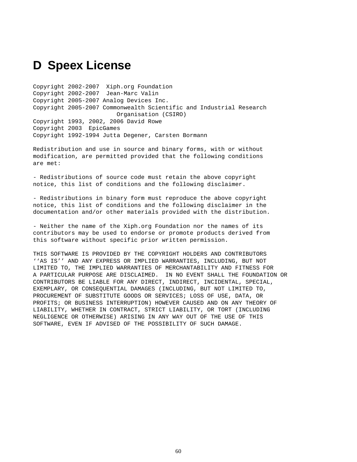# **D Speex License**

Copyright 2002-2007 Xiph.org Foundation Copyright 2002-2007 Jean-Marc Valin Copyright 2005-2007 Analog Devices Inc. Copyright 2005-2007 Commonwealth Scientific and Industrial Research Organisation (CSIRO) Copyright 1993, 2002, 2006 David Rowe Copyright 2003 EpicGames Copyright 1992-1994 Jutta Degener, Carsten Bormann

Redistribution and use in source and binary forms, with or without modification, are permitted provided that the following conditions are met:

- Redistributions of source code must retain the above copyright notice, this list of conditions and the following disclaimer.

- Redistributions in binary form must reproduce the above copyright notice, this list of conditions and the following disclaimer in the documentation and/or other materials provided with the distribution.

- Neither the name of the Xiph.org Foundation nor the names of its contributors may be used to endorse or promote products derived from this software without specific prior written permission.

THIS SOFTWARE IS PROVIDED BY THE COPYRIGHT HOLDERS AND CONTRIBUTORS ''AS IS'' AND ANY EXPRESS OR IMPLIED WARRANTIES, INCLUDING, BUT NOT LIMITED TO, THE IMPLIED WARRANTIES OF MERCHANTABILITY AND FITNESS FOR A PARTICULAR PURPOSE ARE DISCLAIMED. IN NO EVENT SHALL THE FOUNDATION OR CONTRIBUTORS BE LIABLE FOR ANY DIRECT, INDIRECT, INCIDENTAL, SPECIAL, EXEMPLARY, OR CONSEQUENTIAL DAMAGES (INCLUDING, BUT NOT LIMITED TO, PROCUREMENT OF SUBSTITUTE GOODS OR SERVICES; LOSS OF USE, DATA, OR PROFITS; OR BUSINESS INTERRUPTION) HOWEVER CAUSED AND ON ANY THEORY OF LIABILITY, WHETHER IN CONTRACT, STRICT LIABILITY, OR TORT (INCLUDING NEGLIGENCE OR OTHERWISE) ARISING IN ANY WAY OUT OF THE USE OF THIS SOFTWARE, EVEN IF ADVISED OF THE POSSIBILITY OF SUCH DAMAGE.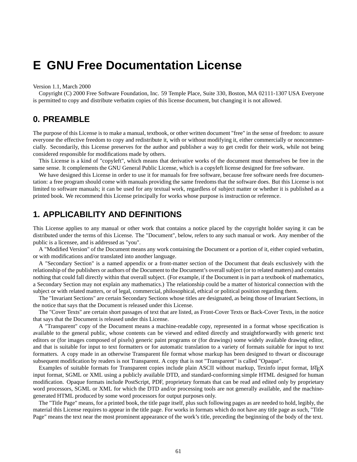# **E GNU Free Documentation License**

Version 1.1, March 2000

Copyright (C) 2000 Free Software Foundation, Inc. 59 Temple Place, Suite 330, Boston, MA 02111-1307 USA Everyone is permitted to copy and distribute verbatim copies of this license document, but changing it is not allowed.

#### **0. PREAMBLE**

The purpose of this License is to make a manual, textbook, or other written document "free" in the sense of freedom: to assure everyone the effective freedom to copy and redistribute it, with or without modifying it, either commercially or noncommercially. Secondarily, this License preserves for the author and publisher a way to get credit for their work, while not being considered responsible for modifications made by others.

This License is a kind of "copyleft", which means that derivative works of the document must themselves be free in the same sense. It complements the GNU General Public License, which is a copyleft license designed for free software.

We have designed this License in order to use it for manuals for free software, because free software needs free documentation: a free program should come with manuals providing the same freedoms that the software does. But this License is not limited to software manuals; it can be used for any textual work, regardless of subject matter or whether it is published as a printed book. We recommend this License principally for works whose purpose is instruction or reference.

#### **1. APPLICABILITY AND DEFINITIONS**

This License applies to any manual or other work that contains a notice placed by the copyright holder saying it can be distributed under the terms of this License. The "Document", below, refers to any such manual or work. Any member of the public is a licensee, and is addressed as "you".

A "Modified Version" of the Document means any work containing the Document or a portion of it, either copied verbatim, or with modifications and/or translated into another language.

A "Secondary Section" is a named appendix or a front-matter section of the Document that deals exclusively with the relationship of the publishers or authors of the Document to the Document's overall subject (or to related matters) and contains nothing that could fall directly within that overall subject. (For example, if the Document is in part a textbook of mathematics, a Secondary Section may not explain any mathematics.) The relationship could be a matter of historical connection with the subject or with related matters, or of legal, commercial, philosophical, ethical or political position regarding them.

The "Invariant Sections" are certain Secondary Sections whose titles are designated, as being those of Invariant Sections, in the notice that says that the Document is released under this License.

The "Cover Texts" are certain short passages of text that are listed, as Front-Cover Texts or Back-Cover Texts, in the notice that says that the Document is released under this License.

A "Transparent" copy of the Document means a machine-readable copy, represented in a format whose specification is available to the general public, whose contents can be viewed and edited directly and straightforwardly with generic text editors or (for images composed of pixels) generic paint programs or (for drawings) some widely available drawing editor, and that is suitable for input to text formatters or for automatic translation to a variety of formats suitable for input to text formatters. A copy made in an otherwise Transparent file format whose markup has been designed to thwart or discourage subsequent modification by readers is not Transparent. A copy that is not "Transparent" is called "Opaque".

Examples of suitable formats for Transparent copies include plain ASCII without markup, Texinfo input format, LATEX input format, SGML or XML using a publicly available DTD, and standard-conforming simple HTML designed for human modification. Opaque formats include PostScript, PDF, proprietary formats that can be read and edited only by proprietary word processors, SGML or XML for which the DTD and/or processing tools are not generally available, and the machinegenerated HTML produced by some word processors for output purposes only.

The "Title Page" means, for a printed book, the title page itself, plus such following pages as are needed to hold, legibly, the material this License requires to appear in the title page. For works in formats which do not have any title page as such, "Title Page" means the text near the most prominent appearance of the work's title, preceding the beginning of the body of the text.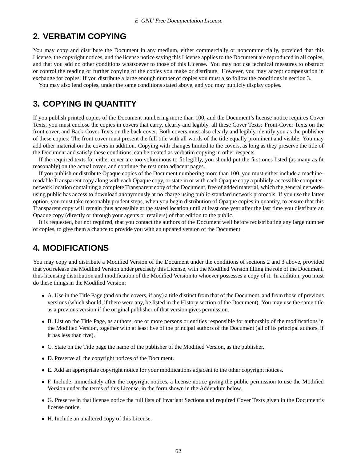## **2. VERBATIM COPYING**

You may copy and distribute the Document in any medium, either commercially or noncommercially, provided that this License, the copyright notices, and the license notice saying this License applies to the Document are reproduced in all copies, and that you add no other conditions whatsoever to those of this License. You may not use technical measures to obstruct or control the reading or further copying of the copies you make or distribute. However, you may accept compensation in exchange for copies. If you distribute a large enough number of copies you must also follow the conditions in section 3.

You may also lend copies, under the same conditions stated above, and you may publicly display copies.

# **3. COPYING IN QUANTITY**

If you publish printed copies of the Document numbering more than 100, and the Document's license notice requires Cover Texts, you must enclose the copies in covers that carry, clearly and legibly, all these Cover Texts: Front-Cover Texts on the front cover, and Back-Cover Texts on the back cover. Both covers must also clearly and legibly identify you as the publisher of these copies. The front cover must present the full title with all words of the title equally prominent and visible. You may add other material on the covers in addition. Copying with changes limited to the covers, as long as they preserve the title of the Document and satisfy these conditions, can be treated as verbatim copying in other respects.

If the required texts for either cover are too voluminous to fit legibly, you should put the first ones listed (as many as fit reasonably) on the actual cover, and continue the rest onto adjacent pages.

If you publish or distribute Opaque copies of the Document numbering more than 100, you must either include a machinereadable Transparent copy along with each Opaque copy, or state in or with each Opaque copy a publicly-accessible computernetwork location containing a complete Transparent copy of the Document, free of added material, which the general networkusing public has access to download anonymously at no charge using public-standard network protocols. If you use the latter option, you must take reasonably prudent steps, when you begin distribution of Opaque copies in quantity, to ensure that this Transparent copy will remain thus accessible at the stated location until at least one year after the last time you distribute an Opaque copy (directly or through your agents or retailers) of that edition to the public.

It is requested, but not required, that you contact the authors of the Document well before redistributing any large number of copies, to give them a chance to provide you with an updated version of the Document.

## **4. MODIFICATIONS**

You may copy and distribute a Modified Version of the Document under the conditions of sections 2 and 3 above, provided that you release the Modified Version under precisely this License, with the Modified Version filling the role of the Document, thus licensing distribution and modification of the Modified Version to whoever possesses a copy of it. In addition, you must do these things in the Modified Version:

- A. Use in the Title Page (and on the covers, if any) a title distinct from that of the Document, and from those of previous versions (which should, if there were any, be listed in the History section of the Document). You may use the same title as a previous version if the original publisher of that version gives permission.
- B. List on the Title Page, as authors, one or more persons or entities responsible for authorship of the modifications in the Modified Version, together with at least five of the principal authors of the Document (all of its principal authors, if it has less than five).
- C. State on the Title page the name of the publisher of the Modified Version, as the publisher.
- D. Preserve all the copyright notices of the Document.
- E. Add an appropriate copyright notice for your modifications adjacent to the other copyright notices.
- F. Include, immediately after the copyright notices, a license notice giving the public permission to use the Modified Version under the terms of this License, in the form shown in the Addendum below.
- G. Preserve in that license notice the full lists of Invariant Sections and required Cover Texts given in the Document's license notice.
- H. Include an unaltered copy of this License.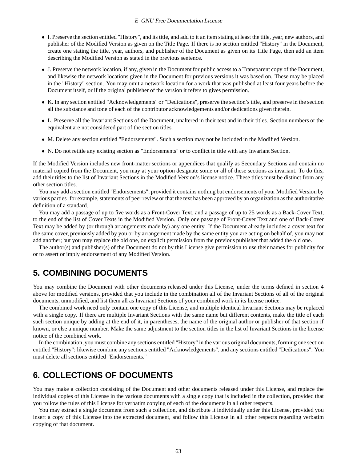#### <sup>E</sup> GNU Free Documentation License

- I. Preserve the section entitled "History", and its title, and add to it an item stating at least the title, year, new authors, and publisher of the Modified Version as given on the Title Page. If there is no section entitled "History" in the Document, create one stating the title, year, authors, and publisher of the Document as given on its Title Page, then add an item describing the Modified Version as stated in the previous sentence.
- J. Preserve the network location, if any, given in the Document for public access to a Transparent copy of the Document, and likewise the network locations given in the Document for previous versions it was based on. These may be placed in the "History" section. You may omit a network location for a work that was published at least four years before the Document itself, or if the original publisher of the version it refers to gives permission.
- K. In any section entitled "Acknowledgements" or "Dedications", preserve the section's title, and preserve in the section all the substance and tone of each of the contributor acknowledgements and/or dedications given therein.
- L. Preserve all the Invariant Sections of the Document, unaltered in their text and in their titles. Section numbers or the equivalent are not considered part of the section titles.
- M. Delete any section entitled "Endorsements". Such a section may not be included in the Modified Version.
- N. Do not retitle any existing section as "Endorsements" or to conflict in title with any Invariant Section.

If the Modified Version includes new front-matter sections or appendices that qualify as Secondary Sections and contain no material copied from the Document, you may at your option designate some or all of these sections as invariant. To do this, add their titles to the list of Invariant Sections in the Modified Version's license notice. These titles must be distinct from any other section titles.

You may add a section entitled "Endorsements", provided it contains nothing but endorsements of your Modified Version by various parties–for example, statements of peer review or that the text has been approved by an organization as the authoritative definition of a standard.

You may add a passage of up to five words as a Front-Cover Text, and a passage of up to 25 words as a Back-Cover Text, to the end of the list of Cover Texts in the Modified Version. Only one passage of Front-Cover Text and one of Back-Cover Text may be added by (or through arrangements made by) any one entity. If the Document already includes a cover text for the same cover, previously added by you or by arrangement made by the same entity you are acting on behalf of, you may not add another; but you may replace the old one, on explicit permission from the previous publisher that added the old one.

The author(s) and publisher(s) of the Document do not by this License give permission to use their names for publicity for or to assert or imply endorsement of any Modified Version.

## **5. COMBINING DOCUMENTS**

You may combine the Document with other documents released under this License, under the terms defined in section 4 above for modified versions, provided that you include in the combination all of the Invariant Sections of all of the original documents, unmodified, and list them all as Invariant Sections of your combined work in its license notice.

The combined work need only contain one copy of this License, and multiple identical Invariant Sections may be replaced with a single copy. If there are multiple Invariant Sections with the same name but different contents, make the title of each such section unique by adding at the end of it, in parentheses, the name of the original author or publisher of that section if known, or else a unique number. Make the same adjustment to the section titles in the list of Invariant Sections in the license notice of the combined work.

In the combination, you must combine any sections entitled "History" in the various original documents, forming one section entitled "History"; likewise combine any sections entitled "Acknowledgements", and any sections entitled "Dedications". You must delete all sections entitled "Endorsements."

## **6. COLLECTIONS OF DOCUMENTS**

You may make a collection consisting of the Document and other documents released under this License, and replace the individual copies of this License in the various documents with a single copy that is included in the collection, provided that you follow the rules of this License for verbatim copying of each of the documents in all other respects.

You may extract a single document from such a collection, and distribute it individually under this License, provided you insert a copy of this License into the extracted document, and follow this License in all other respects regarding verbatim copying of that document.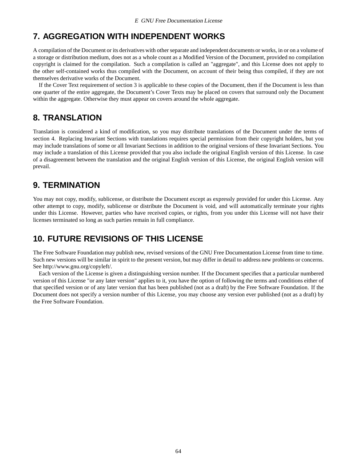# **7. AGGREGATION WITH INDEPENDENT WORKS**

A compilation of the Document or its derivatives with other separate and independent documents or works, in or on a volume of a storage or distribution medium, does not as a whole count as a Modified Version of the Document, provided no compilation copyright is claimed for the compilation. Such a compilation is called an "aggregate", and this License does not apply to the other self-contained works thus compiled with the Document, on account of their being thus compiled, if they are not themselves derivative works of the Document.

If the Cover Text requirement of section 3 is applicable to these copies of the Document, then if the Document is less than one quarter of the entire aggregate, the Document's Cover Texts may be placed on covers that surround only the Document within the aggregate. Otherwise they must appear on covers around the whole aggregate.

## **8. TRANSLATION**

Translation is considered a kind of modification, so you may distribute translations of the Document under the terms of section 4. Replacing Invariant Sections with translations requires special permission from their copyright holders, but you may include translations of some or all Invariant Sections in addition to the original versions of these Invariant Sections. You may include a translation of this License provided that you also include the original English version of this License. In case of a disagreement between the translation and the original English version of this License, the original English version will prevail.

## **9. TERMINATION**

You may not copy, modify, sublicense, or distribute the Document except as expressly provided for under this License. Any other attempt to copy, modify, sublicense or distribute the Document is void, and will automatically terminate your rights under this License. However, parties who have received copies, or rights, from you under this License will not have their licenses terminated so long as such parties remain in full compliance.

# **10. FUTURE REVISIONS OF THIS LICENSE**

The Free Software Foundation may publish new, revised versions of the GNU Free Documentation License from time to time. Such new versions will be similar in spirit to the present version, but may differ in detail to address new problems or concerns. See http://www.gnu.org/copyleft/.

Each version of the License is given a distinguishing version number. If the Document specifies that a particular numbered version of this License "or any later version" applies to it, you have the option of following the terms and conditions either of that specified version or of any later version that has been published (not as a draft) by the Free Software Foundation. If the Document does not specify a version number of this License, you may choose any version ever published (not as a draft) by the Free Software Foundation.